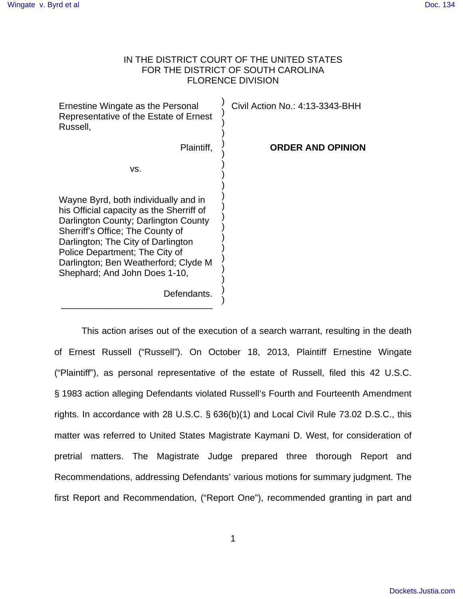# IN THE DISTRICT COURT OF THE UNITED STATES FOR THE DISTRICT OF SOUTH CAROLINA FLORENCE DIVISION

Ernestine Wingate as the Personal Representative of the Estate of Ernest Russell, Plaintiff, vs. Wayne Byrd, both individually and in his Official capacity as the Sherriff of Darlington County; Darlington County Sherriff's Office; The County of Darlington; The City of Darlington Police Department; The City of Darlington; Ben Weatherford; Clyde M Shephard; And John Does 1-10, ) ) ) ) ) ) ) ) ) ) ) ) ) ) ) ) ) ) ) Civil Action No.: 4:13-3343-BHH **ORDER AND OPINION**

Defendants.

)

\_\_\_\_\_\_\_\_\_\_\_\_\_\_\_\_\_\_\_\_\_\_\_\_\_\_\_\_\_\_

 This action arises out of the execution of a search warrant, resulting in the death of Ernest Russell ("Russell"). On October 18, 2013, Plaintiff Ernestine Wingate ("Plaintiff"), as personal representative of the estate of Russell, filed this 42 U.S.C. § 1983 action alleging Defendants violated Russell's Fourth and Fourteenth Amendment rights. In accordance with 28 U.S.C. § 636(b)(1) and Local Civil Rule 73.02 D.S.C., this matter was referred to United States Magistrate Kaymani D. West, for consideration of pretrial matters. The Magistrate Judge prepared three thorough Report and Recommendations, addressing Defendants' various motions for summary judgment. The first Report and Recommendation, ("Report One"), recommended granting in part and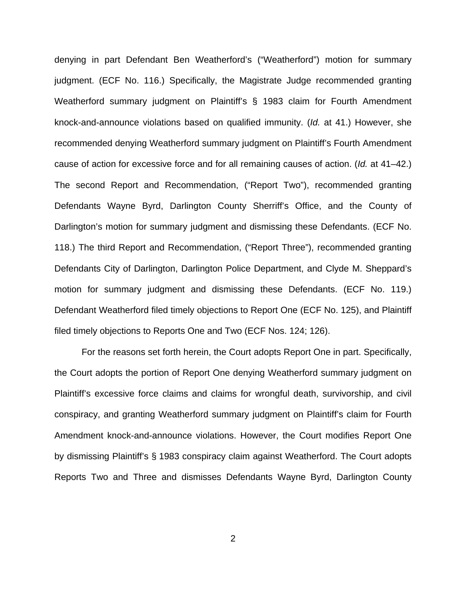denying in part Defendant Ben Weatherford's ("Weatherford") motion for summary judgment. (ECF No. 116.) Specifically, the Magistrate Judge recommended granting Weatherford summary judgment on Plaintiff's § 1983 claim for Fourth Amendment knock-and-announce violations based on qualified immunity. (Id. at 41.) However, she recommended denying Weatherford summary judgment on Plaintiff's Fourth Amendment cause of action for excessive force and for all remaining causes of action. (Id. at 41–42.) The second Report and Recommendation, ("Report Two"), recommended granting Defendants Wayne Byrd, Darlington County Sherriff's Office, and the County of Darlington's motion for summary judgment and dismissing these Defendants. (ECF No. 118.) The third Report and Recommendation, ("Report Three"), recommended granting Defendants City of Darlington, Darlington Police Department, and Clyde M. Sheppard's motion for summary judgment and dismissing these Defendants. (ECF No. 119.) Defendant Weatherford filed timely objections to Report One (ECF No. 125), and Plaintiff filed timely objections to Reports One and Two (ECF Nos. 124; 126).

For the reasons set forth herein, the Court adopts Report One in part. Specifically, the Court adopts the portion of Report One denying Weatherford summary judgment on Plaintiff's excessive force claims and claims for wrongful death, survivorship, and civil conspiracy, and granting Weatherford summary judgment on Plaintiff's claim for Fourth Amendment knock-and-announce violations. However, the Court modifies Report One by dismissing Plaintiff's § 1983 conspiracy claim against Weatherford. The Court adopts Reports Two and Three and dismisses Defendants Wayne Byrd, Darlington County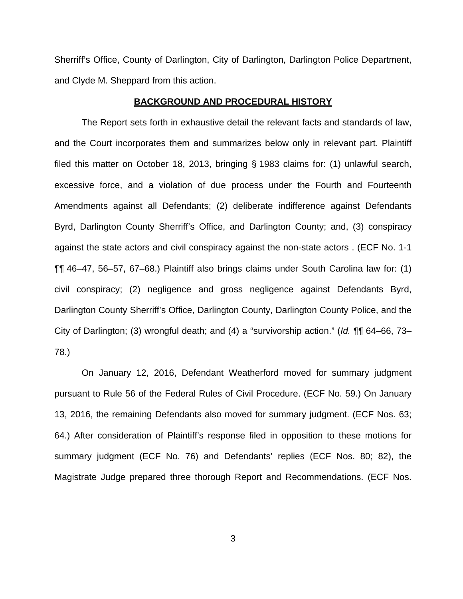Sherriff's Office, County of Darlington, City of Darlington, Darlington Police Department, and Clyde M. Sheppard from this action.

#### **BACKGROUND AND PROCEDURAL HISTORY**

 The Report sets forth in exhaustive detail the relevant facts and standards of law, and the Court incorporates them and summarizes below only in relevant part. Plaintiff filed this matter on October 18, 2013, bringing § 1983 claims for: (1) unlawful search, excessive force, and a violation of due process under the Fourth and Fourteenth Amendments against all Defendants; (2) deliberate indifference against Defendants Byrd, Darlington County Sherriff's Office, and Darlington County; and, (3) conspiracy against the state actors and civil conspiracy against the non-state actors . (ECF No. 1-1 ¶¶ 46–47, 56–57, 67–68.) Plaintiff also brings claims under South Carolina law for: (1) civil conspiracy; (2) negligence and gross negligence against Defendants Byrd, Darlington County Sherriff's Office, Darlington County, Darlington County Police, and the City of Darlington; (3) wrongful death; and (4) a "survivorship action." (Id. ¶¶ 64–66, 73– 78.)

On January 12, 2016, Defendant Weatherford moved for summary judgment pursuant to Rule 56 of the Federal Rules of Civil Procedure. (ECF No. 59.) On January 13, 2016, the remaining Defendants also moved for summary judgment. (ECF Nos. 63; 64.) After consideration of Plaintiff's response filed in opposition to these motions for summary judgment (ECF No. 76) and Defendants' replies (ECF Nos. 80; 82), the Magistrate Judge prepared three thorough Report and Recommendations. (ECF Nos.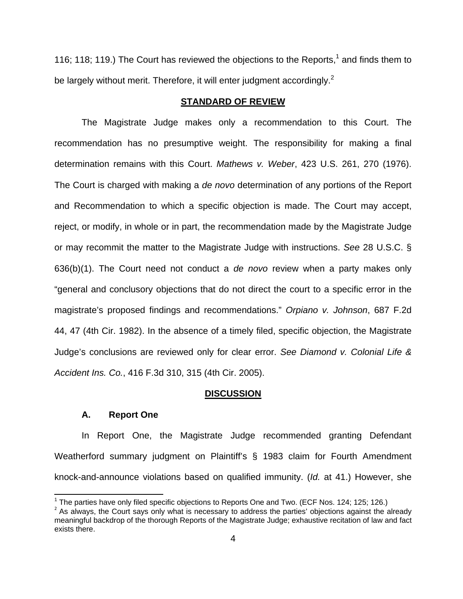116; 118; 119.) The Court has reviewed the objections to the Reports,<sup>1</sup> and finds them to be largely without merit. Therefore, it will enter judgment accordingly.<sup>2</sup>

## **STANDARD OF REVIEW**

 The Magistrate Judge makes only a recommendation to this Court. The recommendation has no presumptive weight. The responsibility for making a final determination remains with this Court. Mathews v. Weber, 423 U.S. 261, 270 (1976). The Court is charged with making a de novo determination of any portions of the Report and Recommendation to which a specific objection is made. The Court may accept, reject, or modify, in whole or in part, the recommendation made by the Magistrate Judge or may recommit the matter to the Magistrate Judge with instructions. See 28 U.S.C. § 636(b)(1). The Court need not conduct a de novo review when a party makes only "general and conclusory objections that do not direct the court to a specific error in the magistrate's proposed findings and recommendations." Orpiano v. Johnson, 687 F.2d 44, 47 (4th Cir. 1982). In the absence of a timely filed, specific objection, the Magistrate Judge's conclusions are reviewed only for clear error. See Diamond v. Colonial Life & Accident Ins. Co., 416 F.3d 310, 315 (4th Cir. 2005).

#### **DISCUSSION**

#### **A. Report One**

In Report One, the Magistrate Judge recommended granting Defendant Weatherford summary judgment on Plaintiff's § 1983 claim for Fourth Amendment knock-and-announce violations based on qualified immunity. (Id. at 41.) However, she

<sup>————————————————————&</sup>lt;br><sup>1</sup> The parties have only filed specific objections to Reports One and Two. (ECF Nos. 124; 125; 126.)

 $<sup>2</sup>$  As always, the Court says only what is necessary to address the parties' objections against the already</sup> meaningful backdrop of the thorough Reports of the Magistrate Judge; exhaustive recitation of law and fact exists there.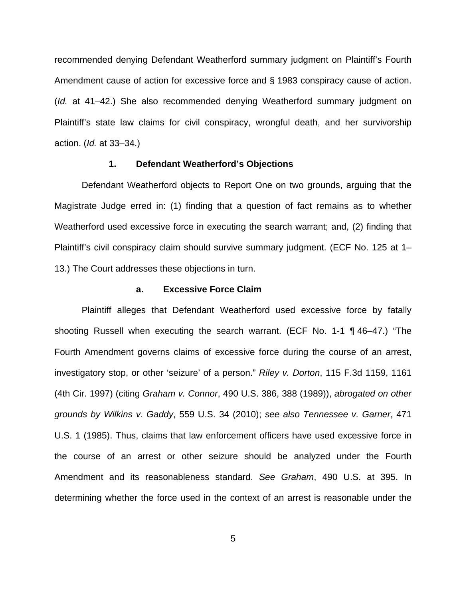recommended denying Defendant Weatherford summary judgment on Plaintiff's Fourth Amendment cause of action for excessive force and § 1983 conspiracy cause of action. (Id. at 41–42.) She also recommended denying Weatherford summary judgment on Plaintiff's state law claims for civil conspiracy, wrongful death, and her survivorship action. (Id. at 33–34.)

#### **1. Defendant Weatherford's Objections**

Defendant Weatherford objects to Report One on two grounds, arguing that the Magistrate Judge erred in: (1) finding that a question of fact remains as to whether Weatherford used excessive force in executing the search warrant; and, (2) finding that Plaintiff's civil conspiracy claim should survive summary judgment. (ECF No. 125 at 1– 13.) The Court addresses these objections in turn.

### **a. Excessive Force Claim**

Plaintiff alleges that Defendant Weatherford used excessive force by fatally shooting Russell when executing the search warrant. (ECF No. 1-1 ¶ 46–47.) "The Fourth Amendment governs claims of excessive force during the course of an arrest, investigatory stop, or other 'seizure' of a person." Riley v. Dorton, 115 F.3d 1159, 1161 (4th Cir. 1997) (citing Graham v. Connor, 490 U.S. 386, 388 (1989)), abrogated on other grounds by Wilkins v. Gaddy, 559 U.S. 34 (2010); see also Tennessee v. Garner, 471 U.S. 1 (1985). Thus, claims that law enforcement officers have used excessive force in the course of an arrest or other seizure should be analyzed under the Fourth Amendment and its reasonableness standard. See Graham, 490 U.S. at 395. In determining whether the force used in the context of an arrest is reasonable under the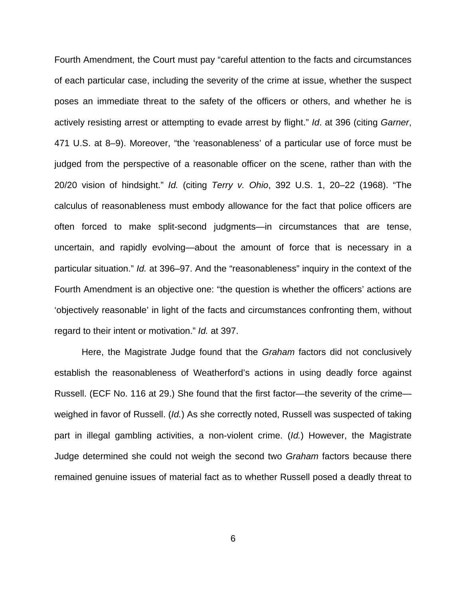Fourth Amendment, the Court must pay "careful attention to the facts and circumstances of each particular case, including the severity of the crime at issue, whether the suspect poses an immediate threat to the safety of the officers or others, and whether he is actively resisting arrest or attempting to evade arrest by flight." Id. at 396 (citing Garner, 471 U.S. at 8–9). Moreover, "the 'reasonableness' of a particular use of force must be judged from the perspective of a reasonable officer on the scene, rather than with the 20/20 vision of hindsight." Id. (citing Terry v. Ohio, 392 U.S. 1, 20–22 (1968). "The calculus of reasonableness must embody allowance for the fact that police officers are often forced to make split-second judgments—in circumstances that are tense, uncertain, and rapidly evolving—about the amount of force that is necessary in a particular situation." Id. at 396–97. And the "reasonableness" inquiry in the context of the Fourth Amendment is an objective one: "the question is whether the officers' actions are 'objectively reasonable' in light of the facts and circumstances confronting them, without regard to their intent or motivation." Id. at 397.

Here, the Magistrate Judge found that the Graham factors did not conclusively establish the reasonableness of Weatherford's actions in using deadly force against Russell. (ECF No. 116 at 29.) She found that the first factor—the severity of the crime weighed in favor of Russell. (Id.) As she correctly noted, Russell was suspected of taking part in illegal gambling activities, a non-violent crime. (Id.) However, the Magistrate Judge determined she could not weigh the second two Graham factors because there remained genuine issues of material fact as to whether Russell posed a deadly threat to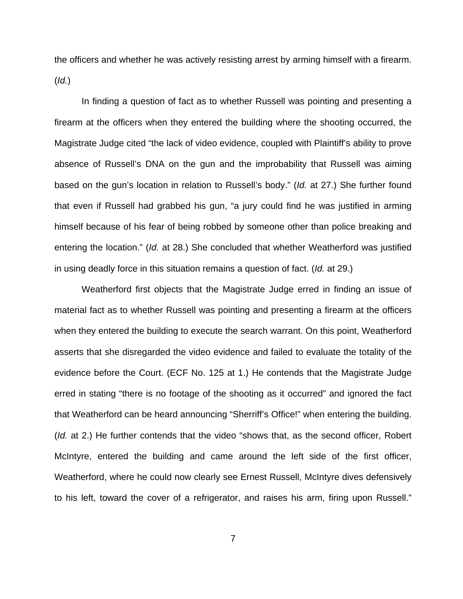the officers and whether he was actively resisting arrest by arming himself with a firearm.  $(Id.)$ 

In finding a question of fact as to whether Russell was pointing and presenting a firearm at the officers when they entered the building where the shooting occurred, the Magistrate Judge cited "the lack of video evidence, coupled with Plaintiff's ability to prove absence of Russell's DNA on the gun and the improbability that Russell was aiming based on the gun's location in relation to Russell's body." (Id. at 27.) She further found that even if Russell had grabbed his gun, "a jury could find he was justified in arming himself because of his fear of being robbed by someone other than police breaking and entering the location." (Id. at 28.) She concluded that whether Weatherford was justified in using deadly force in this situation remains a question of fact. (Id. at 29.)

Weatherford first objects that the Magistrate Judge erred in finding an issue of material fact as to whether Russell was pointing and presenting a firearm at the officers when they entered the building to execute the search warrant. On this point, Weatherford asserts that she disregarded the video evidence and failed to evaluate the totality of the evidence before the Court. (ECF No. 125 at 1.) He contends that the Magistrate Judge erred in stating "there is no footage of the shooting as it occurred" and ignored the fact that Weatherford can be heard announcing "Sherriff's Office!" when entering the building. (Id. at 2.) He further contends that the video "shows that, as the second officer, Robert McIntyre, entered the building and came around the left side of the first officer, Weatherford, where he could now clearly see Ernest Russell, McIntyre dives defensively to his left, toward the cover of a refrigerator, and raises his arm, firing upon Russell."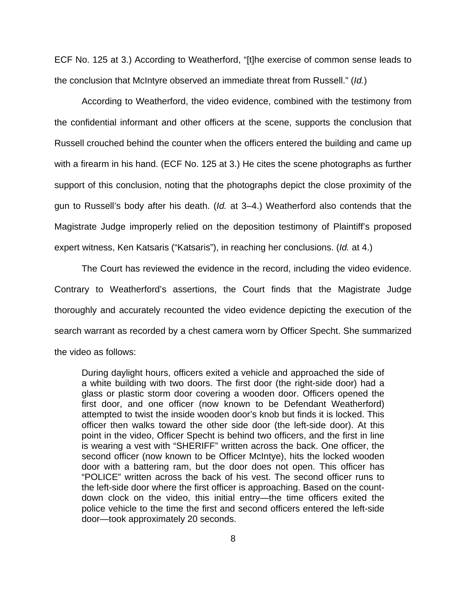ECF No. 125 at 3.) According to Weatherford, "[t]he exercise of common sense leads to the conclusion that McIntyre observed an immediate threat from Russell." (Id.)

According to Weatherford, the video evidence, combined with the testimony from the confidential informant and other officers at the scene, supports the conclusion that Russell crouched behind the counter when the officers entered the building and came up with a firearm in his hand. (ECF No. 125 at 3.) He cites the scene photographs as further support of this conclusion, noting that the photographs depict the close proximity of the gun to Russell's body after his death. (Id. at 3–4.) Weatherford also contends that the Magistrate Judge improperly relied on the deposition testimony of Plaintiff's proposed expert witness, Ken Katsaris ("Katsaris"), in reaching her conclusions. (Id. at 4.)

The Court has reviewed the evidence in the record, including the video evidence. Contrary to Weatherford's assertions, the Court finds that the Magistrate Judge thoroughly and accurately recounted the video evidence depicting the execution of the search warrant as recorded by a chest camera worn by Officer Specht. She summarized the video as follows:

During daylight hours, officers exited a vehicle and approached the side of a white building with two doors. The first door (the right-side door) had a glass or plastic storm door covering a wooden door. Officers opened the first door, and one officer (now known to be Defendant Weatherford) attempted to twist the inside wooden door's knob but finds it is locked. This officer then walks toward the other side door (the left-side door). At this point in the video, Officer Specht is behind two officers, and the first in line is wearing a vest with "SHERIFF" written across the back. One officer, the second officer (now known to be Officer McIntye), hits the locked wooden door with a battering ram, but the door does not open. This officer has "POLICE" written across the back of his vest. The second officer runs to the left-side door where the first officer is approaching. Based on the countdown clock on the video, this initial entry—the time officers exited the police vehicle to the time the first and second officers entered the left-side door—took approximately 20 seconds.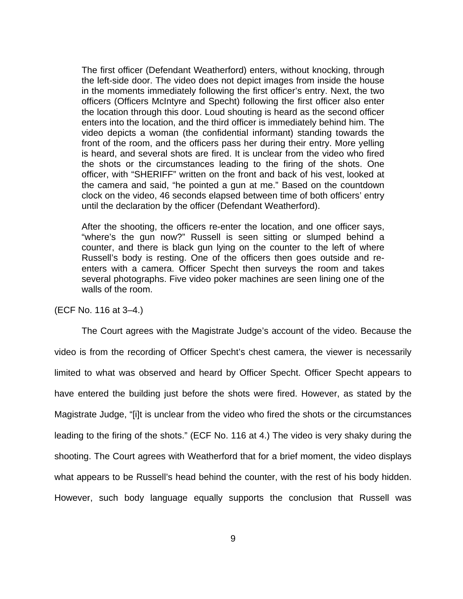The first officer (Defendant Weatherford) enters, without knocking, through the left-side door. The video does not depict images from inside the house in the moments immediately following the first officer's entry. Next, the two officers (Officers McIntyre and Specht) following the first officer also enter the location through this door. Loud shouting is heard as the second officer enters into the location, and the third officer is immediately behind him. The video depicts a woman (the confidential informant) standing towards the front of the room, and the officers pass her during their entry. More yelling is heard, and several shots are fired. It is unclear from the video who fired the shots or the circumstances leading to the firing of the shots. One officer, with "SHERIFF" written on the front and back of his vest, looked at the camera and said, "he pointed a gun at me." Based on the countdown clock on the video, 46 seconds elapsed between time of both officers' entry until the declaration by the officer (Defendant Weatherford).

After the shooting, the officers re-enter the location, and one officer says, "where's the gun now?" Russell is seen sitting or slumped behind a counter, and there is black gun lying on the counter to the left of where Russell's body is resting. One of the officers then goes outside and reenters with a camera. Officer Specht then surveys the room and takes several photographs. Five video poker machines are seen lining one of the walls of the room.

(ECF No. 116 at 3–4.)

The Court agrees with the Magistrate Judge's account of the video. Because the video is from the recording of Officer Specht's chest camera, the viewer is necessarily limited to what was observed and heard by Officer Specht. Officer Specht appears to have entered the building just before the shots were fired. However, as stated by the Magistrate Judge, "[i]t is unclear from the video who fired the shots or the circumstances leading to the firing of the shots." (ECF No. 116 at 4.) The video is very shaky during the shooting. The Court agrees with Weatherford that for a brief moment, the video displays what appears to be Russell's head behind the counter, with the rest of his body hidden. However, such body language equally supports the conclusion that Russell was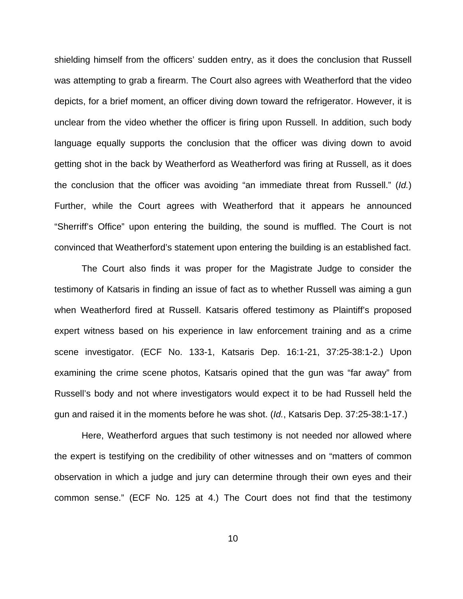shielding himself from the officers' sudden entry, as it does the conclusion that Russell was attempting to grab a firearm. The Court also agrees with Weatherford that the video depicts, for a brief moment, an officer diving down toward the refrigerator. However, it is unclear from the video whether the officer is firing upon Russell. In addition, such body language equally supports the conclusion that the officer was diving down to avoid getting shot in the back by Weatherford as Weatherford was firing at Russell, as it does the conclusion that the officer was avoiding "an immediate threat from Russell." (Id.) Further, while the Court agrees with Weatherford that it appears he announced "Sherriff's Office" upon entering the building, the sound is muffled. The Court is not convinced that Weatherford's statement upon entering the building is an established fact.

The Court also finds it was proper for the Magistrate Judge to consider the testimony of Katsaris in finding an issue of fact as to whether Russell was aiming a gun when Weatherford fired at Russell. Katsaris offered testimony as Plaintiff's proposed expert witness based on his experience in law enforcement training and as a crime scene investigator. (ECF No. 133-1, Katsaris Dep. 16:1-21, 37:25-38:1-2.) Upon examining the crime scene photos, Katsaris opined that the gun was "far away" from Russell's body and not where investigators would expect it to be had Russell held the gun and raised it in the moments before he was shot. (Id., Katsaris Dep. 37:25-38:1-17.)

Here, Weatherford argues that such testimony is not needed nor allowed where the expert is testifying on the credibility of other witnesses and on "matters of common observation in which a judge and jury can determine through their own eyes and their common sense." (ECF No. 125 at 4.) The Court does not find that the testimony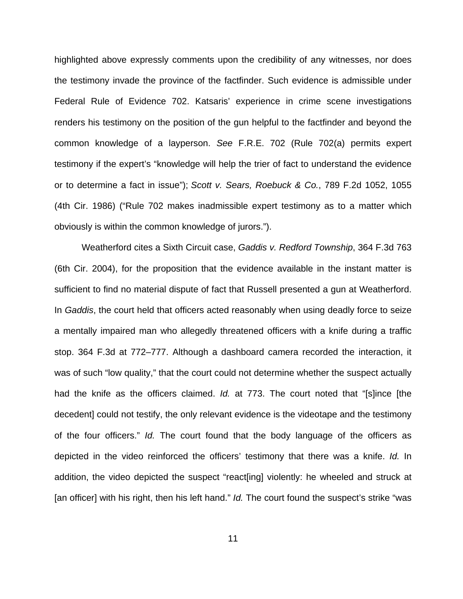highlighted above expressly comments upon the credibility of any witnesses, nor does the testimony invade the province of the factfinder. Such evidence is admissible under Federal Rule of Evidence 702. Katsaris' experience in crime scene investigations renders his testimony on the position of the gun helpful to the factfinder and beyond the common knowledge of a layperson. See F.R.E. 702 (Rule 702(a) permits expert testimony if the expert's "knowledge will help the trier of fact to understand the evidence or to determine a fact in issue"); Scott v. Sears, Roebuck & Co., 789 F.2d 1052, 1055 (4th Cir. 1986) ("Rule 702 makes inadmissible expert testimony as to a matter which obviously is within the common knowledge of jurors.").

Weatherford cites a Sixth Circuit case, Gaddis v. Redford Township, 364 F.3d 763 (6th Cir. 2004), for the proposition that the evidence available in the instant matter is sufficient to find no material dispute of fact that Russell presented a gun at Weatherford. In Gaddis, the court held that officers acted reasonably when using deadly force to seize a mentally impaired man who allegedly threatened officers with a knife during a traffic stop. 364 F.3d at 772–777. Although a dashboard camera recorded the interaction, it was of such "low quality," that the court could not determine whether the suspect actually had the knife as the officers claimed. *Id.* at 773. The court noted that "[s]ince [the decedent] could not testify, the only relevant evidence is the videotape and the testimony of the four officers." Id. The court found that the body language of the officers as depicted in the video reinforced the officers' testimony that there was a knife. Id. In addition, the video depicted the suspect "react[ing] violently: he wheeled and struck at [an officer] with his right, then his left hand." Id. The court found the suspect's strike "was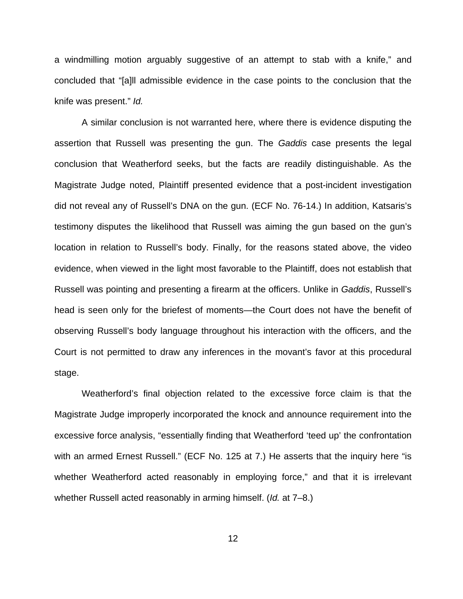a windmilling motion arguably suggestive of an attempt to stab with a knife," and concluded that "[a]ll admissible evidence in the case points to the conclusion that the knife was present." Id.

A similar conclusion is not warranted here, where there is evidence disputing the assertion that Russell was presenting the gun. The Gaddis case presents the legal conclusion that Weatherford seeks, but the facts are readily distinguishable. As the Magistrate Judge noted, Plaintiff presented evidence that a post-incident investigation did not reveal any of Russell's DNA on the gun. (ECF No. 76-14.) In addition, Katsaris's testimony disputes the likelihood that Russell was aiming the gun based on the gun's location in relation to Russell's body. Finally, for the reasons stated above, the video evidence, when viewed in the light most favorable to the Plaintiff, does not establish that Russell was pointing and presenting a firearm at the officers. Unlike in Gaddis, Russell's head is seen only for the briefest of moments—the Court does not have the benefit of observing Russell's body language throughout his interaction with the officers, and the Court is not permitted to draw any inferences in the movant's favor at this procedural stage.

Weatherford's final objection related to the excessive force claim is that the Magistrate Judge improperly incorporated the knock and announce requirement into the excessive force analysis, "essentially finding that Weatherford 'teed up' the confrontation with an armed Ernest Russell." (ECF No. 125 at 7.) He asserts that the inquiry here "is whether Weatherford acted reasonably in employing force," and that it is irrelevant whether Russell acted reasonably in arming himself. (Id. at 7–8.)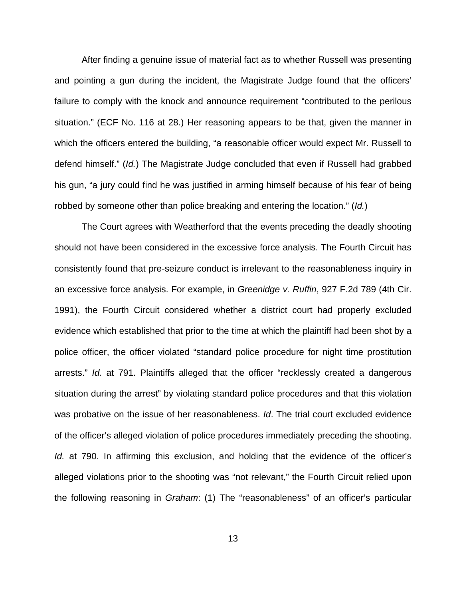After finding a genuine issue of material fact as to whether Russell was presenting and pointing a gun during the incident, the Magistrate Judge found that the officers' failure to comply with the knock and announce requirement "contributed to the perilous situation." (ECF No. 116 at 28.) Her reasoning appears to be that, given the manner in which the officers entered the building, "a reasonable officer would expect Mr. Russell to defend himself." (Id.) The Magistrate Judge concluded that even if Russell had grabbed his gun, "a jury could find he was justified in arming himself because of his fear of being robbed by someone other than police breaking and entering the location." (Id.)

The Court agrees with Weatherford that the events preceding the deadly shooting should not have been considered in the excessive force analysis. The Fourth Circuit has consistently found that pre-seizure conduct is irrelevant to the reasonableness inquiry in an excessive force analysis. For example, in Greenidge v. Ruffin, 927 F.2d 789 (4th Cir. 1991), the Fourth Circuit considered whether a district court had properly excluded evidence which established that prior to the time at which the plaintiff had been shot by a police officer, the officer violated "standard police procedure for night time prostitution arrests." Id. at 791. Plaintiffs alleged that the officer "recklessly created a dangerous situation during the arrest" by violating standard police procedures and that this violation was probative on the issue of her reasonableness. Id. The trial court excluded evidence of the officer's alleged violation of police procedures immediately preceding the shooting. Id. at 790. In affirming this exclusion, and holding that the evidence of the officer's alleged violations prior to the shooting was "not relevant," the Fourth Circuit relied upon the following reasoning in Graham: (1) The "reasonableness" of an officer's particular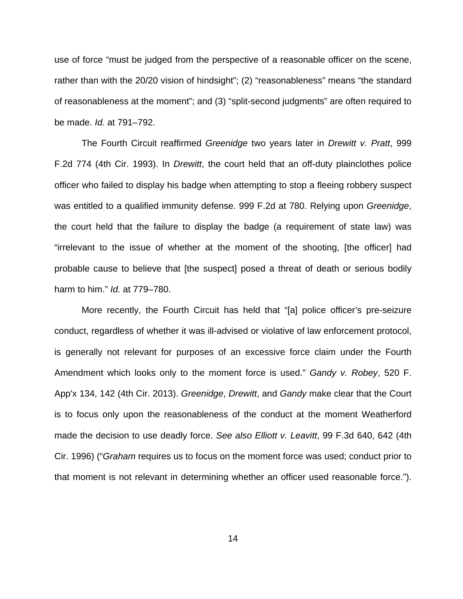use of force "must be judged from the perspective of a reasonable officer on the scene, rather than with the 20/20 vision of hindsight"; (2) "reasonableness" means "the standard of reasonableness at the moment"; and (3) "split-second judgments" are often required to be made. Id. at 791–792.

The Fourth Circuit reaffirmed Greenidge two years later in Drewitt v. Pratt, 999 F.2d 774 (4th Cir. 1993). In Drewitt, the court held that an off-duty plainclothes police officer who failed to display his badge when attempting to stop a fleeing robbery suspect was entitled to a qualified immunity defense. 999 F.2d at 780. Relying upon Greenidge, the court held that the failure to display the badge (a requirement of state law) was "irrelevant to the issue of whether at the moment of the shooting, [the officer] had probable cause to believe that [the suspect] posed a threat of death or serious bodily harm to him." Id. at 779–780.

More recently, the Fourth Circuit has held that "[a] police officer's pre-seizure conduct, regardless of whether it was ill-advised or violative of law enforcement protocol, is generally not relevant for purposes of an excessive force claim under the Fourth Amendment which looks only to the moment force is used." Gandy v. Robey, 520 F. App'x 134, 142 (4th Cir. 2013). Greenidge, Drewitt, and Gandy make clear that the Court is to focus only upon the reasonableness of the conduct at the moment Weatherford made the decision to use deadly force. See also Elliott v. Leavitt, 99 F.3d 640, 642 (4th Cir. 1996) ("Graham requires us to focus on the moment force was used; conduct prior to that moment is not relevant in determining whether an officer used reasonable force.").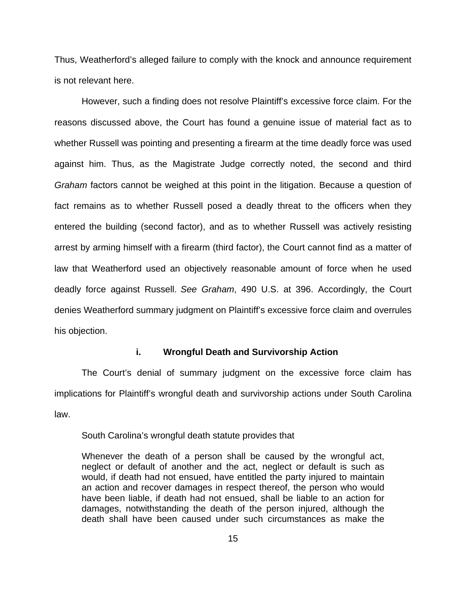Thus, Weatherford's alleged failure to comply with the knock and announce requirement is not relevant here.

However, such a finding does not resolve Plaintiff's excessive force claim. For the reasons discussed above, the Court has found a genuine issue of material fact as to whether Russell was pointing and presenting a firearm at the time deadly force was used against him. Thus, as the Magistrate Judge correctly noted, the second and third Graham factors cannot be weighed at this point in the litigation. Because a question of fact remains as to whether Russell posed a deadly threat to the officers when they entered the building (second factor), and as to whether Russell was actively resisting arrest by arming himself with a firearm (third factor), the Court cannot find as a matter of law that Weatherford used an objectively reasonable amount of force when he used deadly force against Russell. See Graham, 490 U.S. at 396. Accordingly, the Court denies Weatherford summary judgment on Plaintiff's excessive force claim and overrules his objection.

## **i. Wrongful Death and Survivorship Action**

The Court's denial of summary judgment on the excessive force claim has implications for Plaintiff's wrongful death and survivorship actions under South Carolina law.

## South Carolina's wrongful death statute provides that

Whenever the death of a person shall be caused by the wrongful act, neglect or default of another and the act, neglect or default is such as would, if death had not ensued, have entitled the party injured to maintain an action and recover damages in respect thereof, the person who would have been liable, if death had not ensued, shall be liable to an action for damages, notwithstanding the death of the person injured, although the death shall have been caused under such circumstances as make the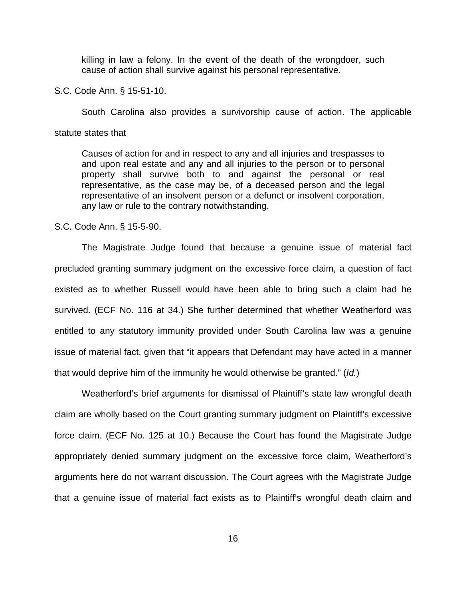killing in law a felony. In the event of the death of the wrongdoer, such cause of action shall survive against his personal representative.

S.C. Code Ann. § 15-51-10.

South Carolina also provides a survivorship cause of action. The applicable

statute states that

Causes of action for and in respect to any and all injuries and trespasses to and upon real estate and any and all injuries to the person or to personal property shall survive both to and against the personal or real representative, as the case may be, of a deceased person and the legal representative of an insolvent person or a defunct or insolvent corporation, any law or rule to the contrary notwithstanding.

## S.C. Code Ann. § 15-5-90.

 The Magistrate Judge found that because a genuine issue of material fact precluded granting summary judgment on the excessive force claim, a question of fact existed as to whether Russell would have been able to bring such a claim had he survived. (ECF No. 116 at 34.) She further determined that whether Weatherford was entitled to any statutory immunity provided under South Carolina law was a genuine issue of material fact, given that "it appears that Defendant may have acted in a manner that would deprive him of the immunity he would otherwise be granted." (Id.)

 Weatherford's brief arguments for dismissal of Plaintiff's state law wrongful death claim are wholly based on the Court granting summary judgment on Plaintiff's excessive force claim. (ECF No. 125 at 10.) Because the Court has found the Magistrate Judge appropriately denied summary judgment on the excessive force claim, Weatherford's arguments here do not warrant discussion. The Court agrees with the Magistrate Judge that a genuine issue of material fact exists as to Plaintiff's wrongful death claim and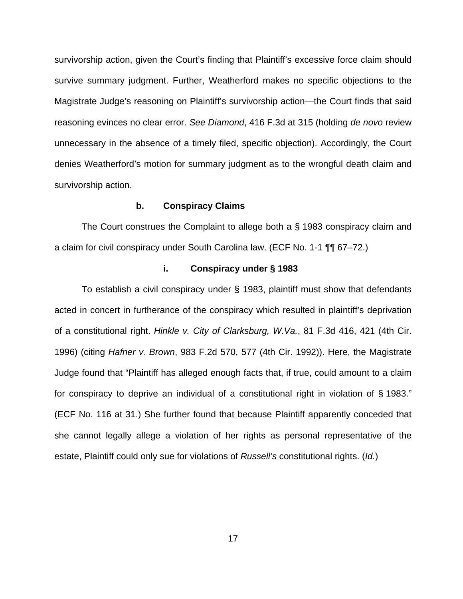survivorship action, given the Court's finding that Plaintiff's excessive force claim should survive summary judgment. Further, Weatherford makes no specific objections to the Magistrate Judge's reasoning on Plaintiff's survivorship action—the Court finds that said reasoning evinces no clear error. See Diamond, 416 F.3d at 315 (holding de novo review unnecessary in the absence of a timely filed, specific objection). Accordingly, the Court denies Weatherford's motion for summary judgment as to the wrongful death claim and survivorship action.

### **b. Conspiracy Claims**

 The Court construes the Complaint to allege both a § 1983 conspiracy claim and a claim for civil conspiracy under South Carolina law. (ECF No. 1-1 ¶¶ 67–72.)

## **i. Conspiracy under § 1983**

To establish a civil conspiracy under § 1983, plaintiff must show that defendants acted in concert in furtherance of the conspiracy which resulted in plaintiff's deprivation of a constitutional right. Hinkle v. City of Clarksburg, W.Va., 81 F.3d 416, 421 (4th Cir. 1996) (citing Hafner v. Brown, 983 F.2d 570, 577 (4th Cir. 1992)). Here, the Magistrate Judge found that "Plaintiff has alleged enough facts that, if true, could amount to a claim for conspiracy to deprive an individual of a constitutional right in violation of § 1983." (ECF No. 116 at 31.) She further found that because Plaintiff apparently conceded that she cannot legally allege a violation of her rights as personal representative of the estate, Plaintiff could only sue for violations of Russell's constitutional rights. (Id.)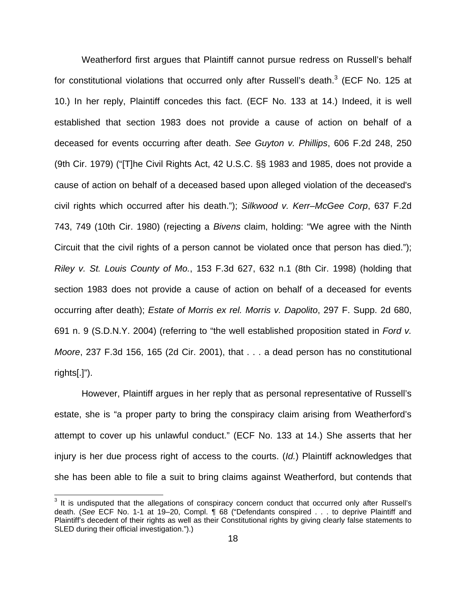Weatherford first argues that Plaintiff cannot pursue redress on Russell's behalf for constitutional violations that occurred only after Russell's death. $3$  (ECF No. 125 at 10.) In her reply, Plaintiff concedes this fact. (ECF No. 133 at 14.) Indeed, it is well established that section 1983 does not provide a cause of action on behalf of a deceased for events occurring after death. See Guyton v. Phillips, 606 F.2d 248, 250 (9th Cir. 1979) ("[T]he Civil Rights Act, 42 U.S.C. §§ 1983 and 1985, does not provide a cause of action on behalf of a deceased based upon alleged violation of the deceased's civil rights which occurred after his death."); Silkwood v. Kerr–McGee Corp, 637 F.2d 743, 749 (10th Cir. 1980) (rejecting a Bivens claim, holding: "We agree with the Ninth Circuit that the civil rights of a person cannot be violated once that person has died."); Riley v. St. Louis County of Mo., 153 F.3d 627, 632 n.1 (8th Cir. 1998) (holding that section 1983 does not provide a cause of action on behalf of a deceased for events occurring after death); Estate of Morris ex rel. Morris v. Dapolito, 297 F. Supp. 2d 680, 691 n. 9 (S.D.N.Y. 2004) (referring to "the well established proposition stated in Ford v. Moore, 237 F.3d 156, 165 (2d Cir. 2001), that . . . a dead person has no constitutional rights[.]").

However, Plaintiff argues in her reply that as personal representative of Russell's estate, she is "a proper party to bring the conspiracy claim arising from Weatherford's attempt to cover up his unlawful conduct." (ECF No. 133 at 14.) She asserts that her injury is her due process right of access to the courts. (Id.) Plaintiff acknowledges that she has been able to file a suit to bring claims against Weatherford, but contends that

 $3$  It is undisputed that the allegations of conspiracy concern conduct that occurred only after Russell's death. (See ECF No. 1-1 at 19–20, Compl. ¶ 68 ("Defendants conspired . . . to deprive Plaintiff and Plaintiff's decedent of their rights as well as their Constitutional rights by giving clearly false statements to SLED during their official investigation.").)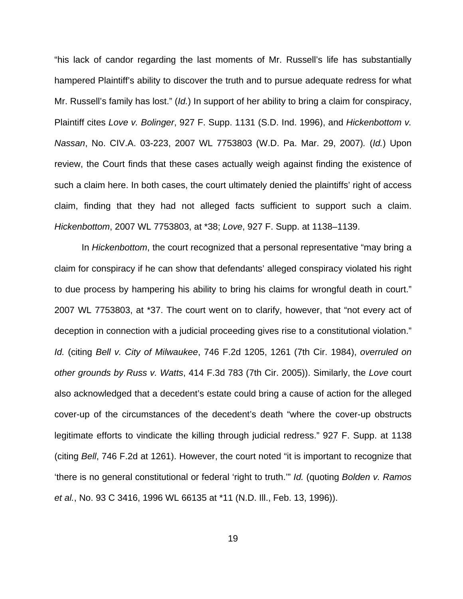"his lack of candor regarding the last moments of Mr. Russell's life has substantially hampered Plaintiff's ability to discover the truth and to pursue adequate redress for what Mr. Russell's family has lost." (Id.) In support of her ability to bring a claim for conspiracy, Plaintiff cites Love v. Bolinger, 927 F. Supp. 1131 (S.D. Ind. 1996), and Hickenbottom v. Nassan, No. CIV.A. 03-223, 2007 WL 7753803 (W.D. Pa. Mar. 29, 2007). (Id.) Upon review, the Court finds that these cases actually weigh against finding the existence of such a claim here. In both cases, the court ultimately denied the plaintiffs' right of access claim, finding that they had not alleged facts sufficient to support such a claim. Hickenbottom, 2007 WL 7753803, at \*38; Love, 927 F. Supp. at 1138–1139.

In *Hickenbottom*, the court recognized that a personal representative "may bring a claim for conspiracy if he can show that defendants' alleged conspiracy violated his right to due process by hampering his ability to bring his claims for wrongful death in court." 2007 WL 7753803, at \*37. The court went on to clarify, however, that "not every act of deception in connection with a judicial proceeding gives rise to a constitutional violation." Id. (citing Bell v. City of Milwaukee, 746 F.2d 1205, 1261 (7th Cir. 1984), overruled on other grounds by Russ v. Watts, 414 F.3d 783 (7th Cir. 2005)). Similarly, the Love court also acknowledged that a decedent's estate could bring a cause of action for the alleged cover-up of the circumstances of the decedent's death "where the cover-up obstructs legitimate efforts to vindicate the killing through judicial redress." 927 F. Supp. at 1138 (citing Bell, 746 F.2d at 1261). However, the court noted "it is important to recognize that 'there is no general constitutional or federal 'right to truth.'" Id. (quoting Bolden v. Ramos et al., No. 93 C 3416, 1996 WL 66135 at \*11 (N.D. Ill., Feb. 13, 1996)).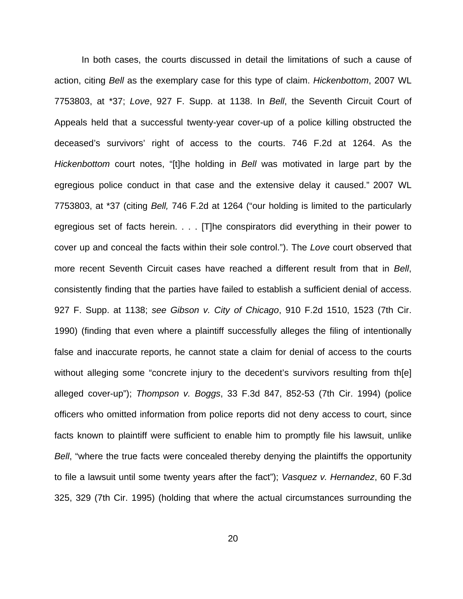In both cases, the courts discussed in detail the limitations of such a cause of action, citing Bell as the exemplary case for this type of claim. Hickenbottom, 2007 WL 7753803, at \*37; Love, 927 F. Supp. at 1138. In Bell, the Seventh Circuit Court of Appeals held that a successful twenty-year cover-up of a police killing obstructed the deceased's survivors' right of access to the courts. 746 F.2d at 1264. As the Hickenbottom court notes, "[t]he holding in Bell was motivated in large part by the egregious police conduct in that case and the extensive delay it caused." 2007 WL 7753803, at \*37 (citing Bell, 746 F.2d at 1264 ("our holding is limited to the particularly egregious set of facts herein. . . . [T]he conspirators did everything in their power to cover up and conceal the facts within their sole control."). The Love court observed that more recent Seventh Circuit cases have reached a different result from that in Bell, consistently finding that the parties have failed to establish a sufficient denial of access. 927 F. Supp. at 1138; see Gibson v. City of Chicago, 910 F.2d 1510, 1523 (7th Cir. 1990) (finding that even where a plaintiff successfully alleges the filing of intentionally false and inaccurate reports, he cannot state a claim for denial of access to the courts without alleging some "concrete injury to the decedent's survivors resulting from th[e] alleged cover-up"); Thompson v. Boggs, 33 F.3d 847, 852-53 (7th Cir. 1994) (police officers who omitted information from police reports did not deny access to court, since facts known to plaintiff were sufficient to enable him to promptly file his lawsuit, unlike Bell, "where the true facts were concealed thereby denying the plaintiffs the opportunity to file a lawsuit until some twenty years after the fact"); Vasquez v. Hernandez, 60 F.3d 325, 329 (7th Cir. 1995) (holding that where the actual circumstances surrounding the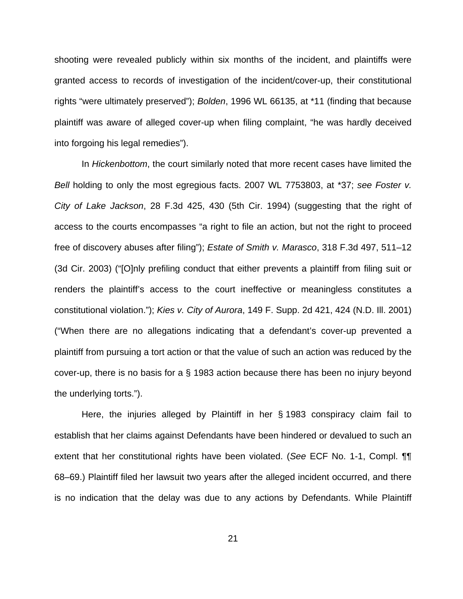shooting were revealed publicly within six months of the incident, and plaintiffs were granted access to records of investigation of the incident/cover-up, their constitutional rights "were ultimately preserved"); Bolden, 1996 WL 66135, at \*11 (finding that because plaintiff was aware of alleged cover-up when filing complaint, "he was hardly deceived into forgoing his legal remedies").

In Hickenbottom, the court similarly noted that more recent cases have limited the Bell holding to only the most egregious facts. 2007 WL 7753803, at \*37; see Foster v. City of Lake Jackson, 28 F.3d 425, 430 (5th Cir. 1994) (suggesting that the right of access to the courts encompasses "a right to file an action, but not the right to proceed free of discovery abuses after filing"); Estate of Smith v. Marasco, 318 F.3d 497, 511–12 (3d Cir. 2003) ("[O]nly prefiling conduct that either prevents a plaintiff from filing suit or renders the plaintiff's access to the court ineffective or meaningless constitutes a constitutional violation."); Kies v. City of Aurora, 149 F. Supp. 2d 421, 424 (N.D. Ill. 2001) ("When there are no allegations indicating that a defendant's cover-up prevented a plaintiff from pursuing a tort action or that the value of such an action was reduced by the cover-up, there is no basis for a § 1983 action because there has been no injury beyond the underlying torts.").

Here, the injuries alleged by Plaintiff in her § 1983 conspiracy claim fail to establish that her claims against Defendants have been hindered or devalued to such an extent that her constitutional rights have been violated. (See ECF No. 1-1, Compl. ¶¶ 68–69.) Plaintiff filed her lawsuit two years after the alleged incident occurred, and there is no indication that the delay was due to any actions by Defendants. While Plaintiff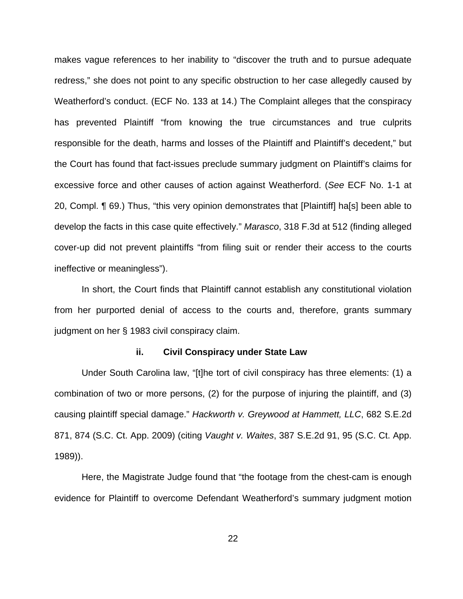makes vague references to her inability to "discover the truth and to pursue adequate redress," she does not point to any specific obstruction to her case allegedly caused by Weatherford's conduct. (ECF No. 133 at 14.) The Complaint alleges that the conspiracy has prevented Plaintiff "from knowing the true circumstances and true culprits responsible for the death, harms and losses of the Plaintiff and Plaintiff's decedent," but the Court has found that fact-issues preclude summary judgment on Plaintiff's claims for excessive force and other causes of action against Weatherford. (See ECF No. 1-1 at 20, Compl. ¶ 69.) Thus, "this very opinion demonstrates that [Plaintiff] ha[s] been able to develop the facts in this case quite effectively." Marasco, 318 F.3d at 512 (finding alleged cover-up did not prevent plaintiffs "from filing suit or render their access to the courts ineffective or meaningless").

In short, the Court finds that Plaintiff cannot establish any constitutional violation from her purported denial of access to the courts and, therefore, grants summary judgment on her § 1983 civil conspiracy claim.

#### **ii. Civil Conspiracy under State Law**

Under South Carolina law, "[t]he tort of civil conspiracy has three elements: (1) a combination of two or more persons, (2) for the purpose of injuring the plaintiff, and (3) causing plaintiff special damage." Hackworth v. Greywood at Hammett, LLC, 682 S.E.2d 871, 874 (S.C. Ct. App. 2009) (citing Vaught v. Waites, 387 S.E.2d 91, 95 (S.C. Ct. App. 1989)).

Here, the Magistrate Judge found that "the footage from the chest-cam is enough evidence for Plaintiff to overcome Defendant Weatherford's summary judgment motion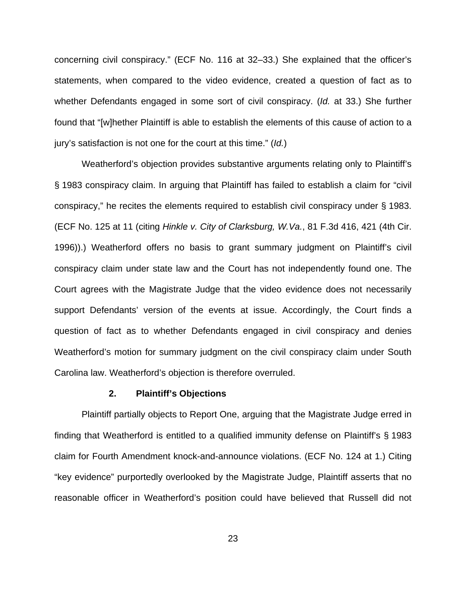concerning civil conspiracy." (ECF No. 116 at 32–33.) She explained that the officer's statements, when compared to the video evidence, created a question of fact as to whether Defendants engaged in some sort of civil conspiracy. (Id. at 33.) She further found that "[w]hether Plaintiff is able to establish the elements of this cause of action to a jury's satisfaction is not one for the court at this time." (Id.)

Weatherford's objection provides substantive arguments relating only to Plaintiff's § 1983 conspiracy claim. In arguing that Plaintiff has failed to establish a claim for "civil conspiracy," he recites the elements required to establish civil conspiracy under § 1983. (ECF No. 125 at 11 (citing Hinkle v. City of Clarksburg, W.Va., 81 F.3d 416, 421 (4th Cir. 1996)).) Weatherford offers no basis to grant summary judgment on Plaintiff's civil conspiracy claim under state law and the Court has not independently found one. The Court agrees with the Magistrate Judge that the video evidence does not necessarily support Defendants' version of the events at issue. Accordingly, the Court finds a question of fact as to whether Defendants engaged in civil conspiracy and denies Weatherford's motion for summary judgment on the civil conspiracy claim under South Carolina law. Weatherford's objection is therefore overruled.

#### **2. Plaintiff's Objections**

Plaintiff partially objects to Report One, arguing that the Magistrate Judge erred in finding that Weatherford is entitled to a qualified immunity defense on Plaintiff's § 1983 claim for Fourth Amendment knock-and-announce violations. (ECF No. 124 at 1.) Citing "key evidence" purportedly overlooked by the Magistrate Judge, Plaintiff asserts that no reasonable officer in Weatherford's position could have believed that Russell did not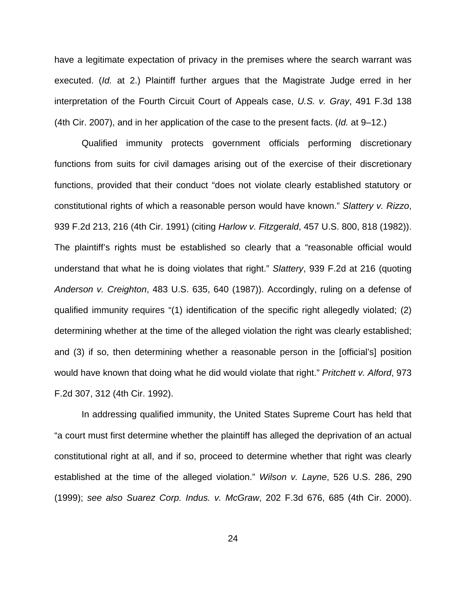have a legitimate expectation of privacy in the premises where the search warrant was executed. (Id. at 2.) Plaintiff further argues that the Magistrate Judge erred in her interpretation of the Fourth Circuit Court of Appeals case, U.S. v. Gray, 491 F.3d 138 (4th Cir. 2007), and in her application of the case to the present facts. (Id. at 9–12.)

Qualified immunity protects government officials performing discretionary functions from suits for civil damages arising out of the exercise of their discretionary functions, provided that their conduct "does not violate clearly established statutory or constitutional rights of which a reasonable person would have known." Slattery v. Rizzo, 939 F.2d 213, 216 (4th Cir. 1991) (citing Harlow v. Fitzgerald, 457 U.S. 800, 818 (1982)). The plaintiff's rights must be established so clearly that a "reasonable official would understand that what he is doing violates that right." Slattery, 939 F.2d at 216 (quoting Anderson v. Creighton, 483 U.S. 635, 640 (1987)). Accordingly, ruling on a defense of qualified immunity requires "(1) identification of the specific right allegedly violated; (2) determining whether at the time of the alleged violation the right was clearly established; and (3) if so, then determining whether a reasonable person in the [official's] position would have known that doing what he did would violate that right." Pritchett v. Alford, 973 F.2d 307, 312 (4th Cir. 1992).

In addressing qualified immunity, the United States Supreme Court has held that "a court must first determine whether the plaintiff has alleged the deprivation of an actual constitutional right at all, and if so, proceed to determine whether that right was clearly established at the time of the alleged violation." Wilson v. Layne, 526 U.S. 286, 290 (1999); see also Suarez Corp. Indus. v. McGraw, 202 F.3d 676, 685 (4th Cir. 2000).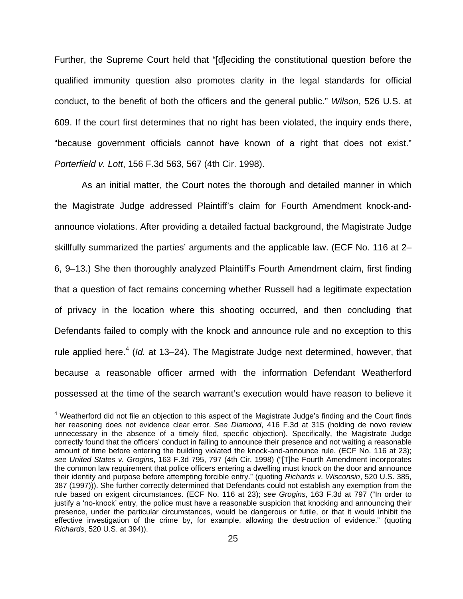Further, the Supreme Court held that "[d]eciding the constitutional question before the qualified immunity question also promotes clarity in the legal standards for official conduct, to the benefit of both the officers and the general public." Wilson, 526 U.S. at 609. If the court first determines that no right has been violated, the inquiry ends there, "because government officials cannot have known of a right that does not exist." Porterfield v. Lott, 156 F.3d 563, 567 (4th Cir. 1998).

As an initial matter, the Court notes the thorough and detailed manner in which the Magistrate Judge addressed Plaintiff's claim for Fourth Amendment knock-andannounce violations. After providing a detailed factual background, the Magistrate Judge skillfully summarized the parties' arguments and the applicable law. (ECF No. 116 at 2– 6, 9–13.) She then thoroughly analyzed Plaintiff's Fourth Amendment claim, first finding that a question of fact remains concerning whether Russell had a legitimate expectation of privacy in the location where this shooting occurred, and then concluding that Defendants failed to comply with the knock and announce rule and no exception to this rule applied here. $4$  (Id. at 13–24). The Magistrate Judge next determined, however, that because a reasonable officer armed with the information Defendant Weatherford possessed at the time of the search warrant's execution would have reason to believe it

<sup>&</sup>lt;sup>4</sup> Weatherford did not file an objection to this aspect of the Magistrate Judge's finding and the Court finds her reasoning does not evidence clear error. See Diamond, 416 F.3d at 315 (holding de novo review unnecessary in the absence of a timely filed, specific objection). Specifically, the Magistrate Judge correctly found that the officers' conduct in failing to announce their presence and not waiting a reasonable amount of time before entering the building violated the knock-and-announce rule. (ECF No. 116 at 23); see United States v. Grogins, 163 F.3d 795, 797 (4th Cir. 1998) ("[T]he Fourth Amendment incorporates the common law requirement that police officers entering a dwelling must knock on the door and announce their identity and purpose before attempting forcible entry." (quoting Richards v. Wisconsin, 520 U.S. 385, 387 (1997))). She further correctly determined that Defendants could not establish any exemption from the rule based on exigent circumstances. (ECF No. 116 at 23); see Grogins, 163 F.3d at 797 ("In order to justify a 'no-knock' entry, the police must have a reasonable suspicion that knocking and announcing their presence, under the particular circumstances, would be dangerous or futile, or that it would inhibit the effective investigation of the crime by, for example, allowing the destruction of evidence." (quoting Richards, 520 U.S. at 394)).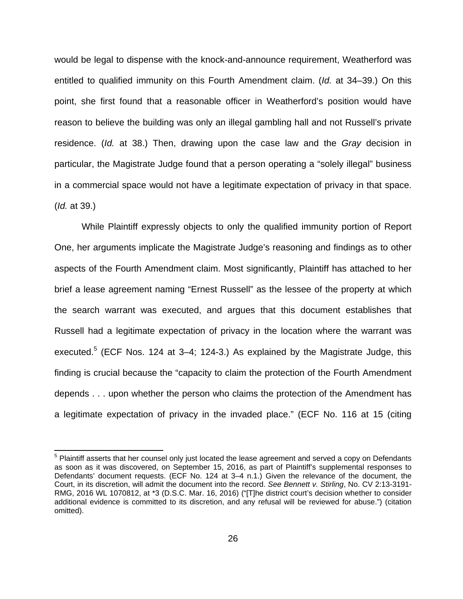would be legal to dispense with the knock-and-announce requirement, Weatherford was entitled to qualified immunity on this Fourth Amendment claim. (Id. at 34–39.) On this point, she first found that a reasonable officer in Weatherford's position would have reason to believe the building was only an illegal gambling hall and not Russell's private residence. (Id. at 38.) Then, drawing upon the case law and the Gray decision in particular, the Magistrate Judge found that a person operating a "solely illegal" business in a commercial space would not have a legitimate expectation of privacy in that space. (Id. at 39.)

While Plaintiff expressly objects to only the qualified immunity portion of Report One, her arguments implicate the Magistrate Judge's reasoning and findings as to other aspects of the Fourth Amendment claim. Most significantly, Plaintiff has attached to her brief a lease agreement naming "Ernest Russell" as the lessee of the property at which the search warrant was executed, and argues that this document establishes that Russell had a legitimate expectation of privacy in the location where the warrant was executed.<sup>5</sup> (ECF Nos. 124 at 3–4; 124-3.) As explained by the Magistrate Judge, this finding is crucial because the "capacity to claim the protection of the Fourth Amendment depends . . . upon whether the person who claims the protection of the Amendment has a legitimate expectation of privacy in the invaded place." (ECF No. 116 at 15 (citing

 5 Plaintiff asserts that her counsel only just located the lease agreement and served a copy on Defendants as soon as it was discovered, on September 15, 2016, as part of Plaintiff's supplemental responses to Defendants' document requests. (ECF No. 124 at 3–4 n.1.) Given the relevance of the document, the Court, in its discretion, will admit the document into the record. See Bennett v. Stirling, No. CV 2:13-3191- RMG, 2016 WL 1070812, at \*3 (D.S.C. Mar. 16, 2016) ("[T]he district court's decision whether to consider additional evidence is committed to its discretion, and any refusal will be reviewed for abuse.") (citation omitted).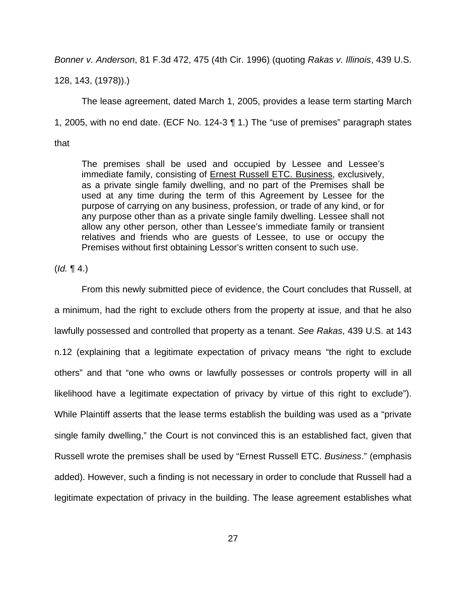Bonner v. Anderson, 81 F.3d 472, 475 (4th Cir. 1996) (quoting Rakas v. Illinois, 439 U.S.

128, 143, (1978)).)

The lease agreement, dated March 1, 2005, provides a lease term starting March 1, 2005, with no end date. (ECF No. 124-3 ¶ 1.) The "use of premises" paragraph states

that

The premises shall be used and occupied by Lessee and Lessee's immediate family, consisting of Ernest Russell ETC. Business, exclusively, as a private single family dwelling, and no part of the Premises shall be used at any time during the term of this Agreement by Lessee for the purpose of carrying on any business, profession, or trade of any kind, or for any purpose other than as a private single family dwelling. Lessee shall not allow any other person, other than Lessee's immediate family or transient relatives and friends who are guests of Lessee, to use or occupy the Premises without first obtaining Lessor's written consent to such use.

 $(Id. \P 4.)$ 

 From this newly submitted piece of evidence, the Court concludes that Russell, at a minimum, had the right to exclude others from the property at issue, and that he also lawfully possessed and controlled that property as a tenant. See Rakas, 439 U.S. at 143 n.12 (explaining that a legitimate expectation of privacy means "the right to exclude others" and that "one who owns or lawfully possesses or controls property will in all likelihood have a legitimate expectation of privacy by virtue of this right to exclude"). While Plaintiff asserts that the lease terms establish the building was used as a "private single family dwelling," the Court is not convinced this is an established fact, given that Russell wrote the premises shall be used by "Ernest Russell ETC. Business." (emphasis added). However, such a finding is not necessary in order to conclude that Russell had a legitimate expectation of privacy in the building. The lease agreement establishes what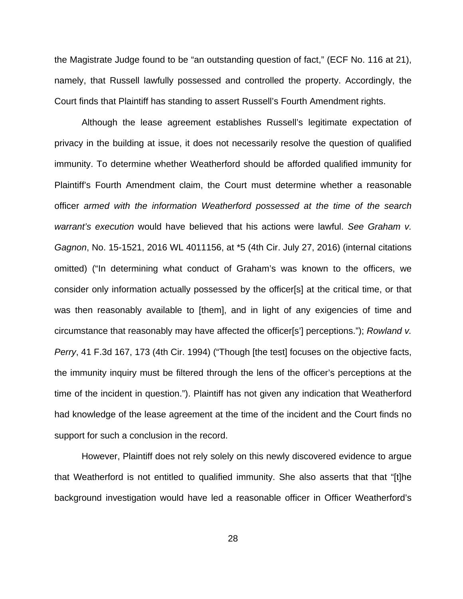the Magistrate Judge found to be "an outstanding question of fact," (ECF No. 116 at 21), namely, that Russell lawfully possessed and controlled the property. Accordingly, the Court finds that Plaintiff has standing to assert Russell's Fourth Amendment rights.

 Although the lease agreement establishes Russell's legitimate expectation of privacy in the building at issue, it does not necessarily resolve the question of qualified immunity. To determine whether Weatherford should be afforded qualified immunity for Plaintiff's Fourth Amendment claim, the Court must determine whether a reasonable officer armed with the information Weatherford possessed at the time of the search warrant's execution would have believed that his actions were lawful. See Graham v. Gagnon, No. 15-1521, 2016 WL 4011156, at \*5 (4th Cir. July 27, 2016) (internal citations omitted) ("In determining what conduct of Graham's was known to the officers, we consider only information actually possessed by the officer[s] at the critical time, or that was then reasonably available to [them], and in light of any exigencies of time and circumstance that reasonably may have affected the officer[s'] perceptions."); Rowland v. Perry, 41 F.3d 167, 173 (4th Cir. 1994) ("Though [the test] focuses on the objective facts, the immunity inquiry must be filtered through the lens of the officer's perceptions at the time of the incident in question."). Plaintiff has not given any indication that Weatherford had knowledge of the lease agreement at the time of the incident and the Court finds no support for such a conclusion in the record.

However, Plaintiff does not rely solely on this newly discovered evidence to argue that Weatherford is not entitled to qualified immunity. She also asserts that that "[t]he background investigation would have led a reasonable officer in Officer Weatherford's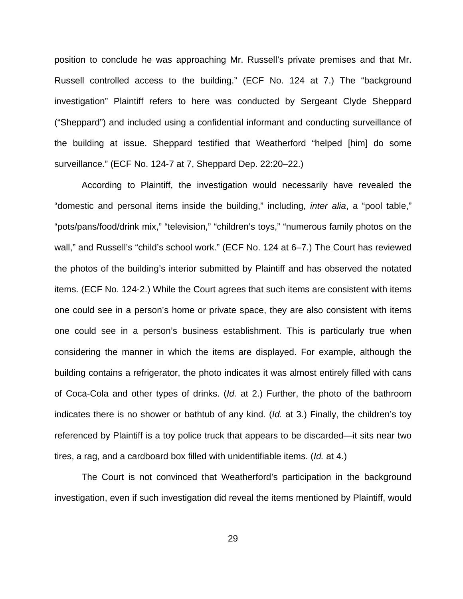position to conclude he was approaching Mr. Russell's private premises and that Mr. Russell controlled access to the building." (ECF No. 124 at 7.) The "background investigation" Plaintiff refers to here was conducted by Sergeant Clyde Sheppard ("Sheppard") and included using a confidential informant and conducting surveillance of the building at issue. Sheppard testified that Weatherford "helped [him] do some surveillance." (ECF No. 124-7 at 7, Sheppard Dep. 22:20–22.)

According to Plaintiff, the investigation would necessarily have revealed the "domestic and personal items inside the building," including, inter alia, a "pool table," "pots/pans/food/drink mix," "television," "children's toys," "numerous family photos on the wall," and Russell's "child's school work." (ECF No. 124 at 6–7.) The Court has reviewed the photos of the building's interior submitted by Plaintiff and has observed the notated items. (ECF No. 124-2.) While the Court agrees that such items are consistent with items one could see in a person's home or private space, they are also consistent with items one could see in a person's business establishment. This is particularly true when considering the manner in which the items are displayed. For example, although the building contains a refrigerator, the photo indicates it was almost entirely filled with cans of Coca-Cola and other types of drinks. (Id. at 2.) Further, the photo of the bathroom indicates there is no shower or bathtub of any kind. (Id. at 3.) Finally, the children's toy referenced by Plaintiff is a toy police truck that appears to be discarded—it sits near two tires, a rag, and a cardboard box filled with unidentifiable items. (Id. at 4.)

The Court is not convinced that Weatherford's participation in the background investigation, even if such investigation did reveal the items mentioned by Plaintiff, would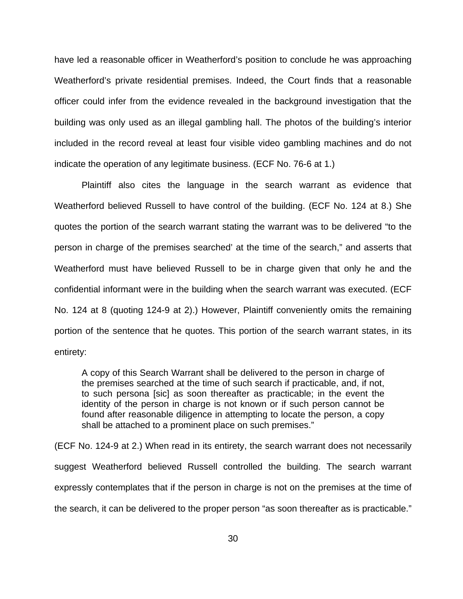have led a reasonable officer in Weatherford's position to conclude he was approaching Weatherford's private residential premises. Indeed, the Court finds that a reasonable officer could infer from the evidence revealed in the background investigation that the building was only used as an illegal gambling hall. The photos of the building's interior included in the record reveal at least four visible video gambling machines and do not indicate the operation of any legitimate business. (ECF No. 76-6 at 1.)

Plaintiff also cites the language in the search warrant as evidence that Weatherford believed Russell to have control of the building. (ECF No. 124 at 8.) She quotes the portion of the search warrant stating the warrant was to be delivered "to the person in charge of the premises searched' at the time of the search," and asserts that Weatherford must have believed Russell to be in charge given that only he and the confidential informant were in the building when the search warrant was executed. (ECF No. 124 at 8 (quoting 124-9 at 2).) However, Plaintiff conveniently omits the remaining portion of the sentence that he quotes. This portion of the search warrant states, in its entirety:

A copy of this Search Warrant shall be delivered to the person in charge of the premises searched at the time of such search if practicable, and, if not, to such persona [sic] as soon thereafter as practicable; in the event the identity of the person in charge is not known or if such person cannot be found after reasonable diligence in attempting to locate the person, a copy shall be attached to a prominent place on such premises."

(ECF No. 124-9 at 2.) When read in its entirety, the search warrant does not necessarily suggest Weatherford believed Russell controlled the building. The search warrant expressly contemplates that if the person in charge is not on the premises at the time of the search, it can be delivered to the proper person "as soon thereafter as is practicable."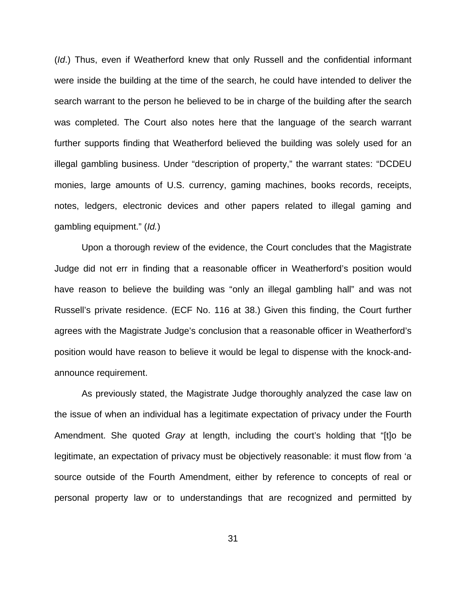(Id.) Thus, even if Weatherford knew that only Russell and the confidential informant were inside the building at the time of the search, he could have intended to deliver the search warrant to the person he believed to be in charge of the building after the search was completed. The Court also notes here that the language of the search warrant further supports finding that Weatherford believed the building was solely used for an illegal gambling business. Under "description of property," the warrant states: "DCDEU monies, large amounts of U.S. currency, gaming machines, books records, receipts, notes, ledgers, electronic devices and other papers related to illegal gaming and gambling equipment." (Id.)

 Upon a thorough review of the evidence, the Court concludes that the Magistrate Judge did not err in finding that a reasonable officer in Weatherford's position would have reason to believe the building was "only an illegal gambling hall" and was not Russell's private residence. (ECF No. 116 at 38.) Given this finding, the Court further agrees with the Magistrate Judge's conclusion that a reasonable officer in Weatherford's position would have reason to believe it would be legal to dispense with the knock-andannounce requirement.

 As previously stated, the Magistrate Judge thoroughly analyzed the case law on the issue of when an individual has a legitimate expectation of privacy under the Fourth Amendment. She quoted Gray at length, including the court's holding that "[t]o be legitimate, an expectation of privacy must be objectively reasonable: it must flow from 'a source outside of the Fourth Amendment, either by reference to concepts of real or personal property law or to understandings that are recognized and permitted by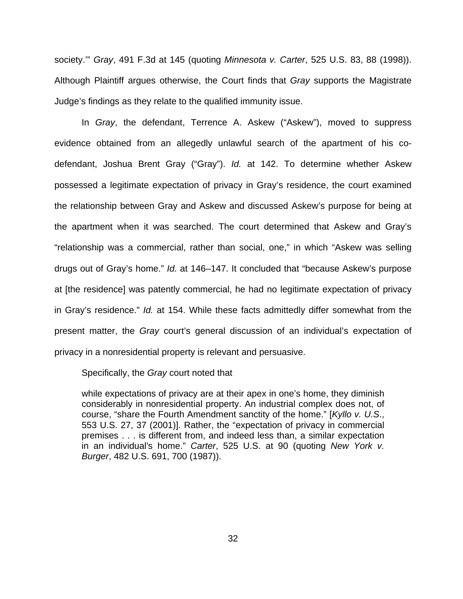society.'" Gray, 491 F.3d at 145 (quoting Minnesota v. Carter, 525 U.S. 83, 88 (1998)). Although Plaintiff argues otherwise, the Court finds that Gray supports the Magistrate Judge's findings as they relate to the qualified immunity issue.

 In Gray, the defendant, Terrence A. Askew ("Askew"), moved to suppress evidence obtained from an allegedly unlawful search of the apartment of his codefendant, Joshua Brent Gray ("Gray"). Id. at 142. To determine whether Askew possessed a legitimate expectation of privacy in Gray's residence, the court examined the relationship between Gray and Askew and discussed Askew's purpose for being at the apartment when it was searched. The court determined that Askew and Gray's "relationship was a commercial, rather than social, one," in which "Askew was selling drugs out of Gray's home." Id. at 146–147. It concluded that "because Askew's purpose at [the residence] was patently commercial, he had no legitimate expectation of privacy in Gray's residence." Id. at 154. While these facts admittedly differ somewhat from the present matter, the Gray court's general discussion of an individual's expectation of privacy in a nonresidential property is relevant and persuasive.

Specifically, the Gray court noted that

while expectations of privacy are at their apex in one's home, they diminish considerably in nonresidential property. An industrial complex does not, of course, "share the Fourth Amendment sanctity of the home." [Kyllo v. U.S., 553 U.S. 27, 37 (2001)]. Rather, the "expectation of privacy in commercial premises . . . is different from, and indeed less than, a similar expectation in an individual's home." Carter, 525 U.S. at 90 (quoting New York v. Burger, 482 U.S. 691, 700 (1987)).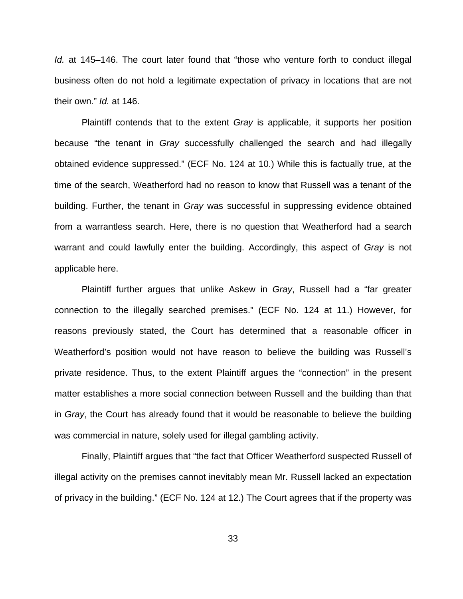Id. at 145–146. The court later found that "those who venture forth to conduct illegal business often do not hold a legitimate expectation of privacy in locations that are not their own." *Id.* at 146.

 Plaintiff contends that to the extent Gray is applicable, it supports her position because "the tenant in Gray successfully challenged the search and had illegally obtained evidence suppressed." (ECF No. 124 at 10.) While this is factually true, at the time of the search, Weatherford had no reason to know that Russell was a tenant of the building. Further, the tenant in Gray was successful in suppressing evidence obtained from a warrantless search. Here, there is no question that Weatherford had a search warrant and could lawfully enter the building. Accordingly, this aspect of Gray is not applicable here.

 Plaintiff further argues that unlike Askew in Gray, Russell had a "far greater connection to the illegally searched premises." (ECF No. 124 at 11.) However, for reasons previously stated, the Court has determined that a reasonable officer in Weatherford's position would not have reason to believe the building was Russell's private residence. Thus, to the extent Plaintiff argues the "connection" in the present matter establishes a more social connection between Russell and the building than that in Gray, the Court has already found that it would be reasonable to believe the building was commercial in nature, solely used for illegal gambling activity.

 Finally, Plaintiff argues that "the fact that Officer Weatherford suspected Russell of illegal activity on the premises cannot inevitably mean Mr. Russell lacked an expectation of privacy in the building." (ECF No. 124 at 12.) The Court agrees that if the property was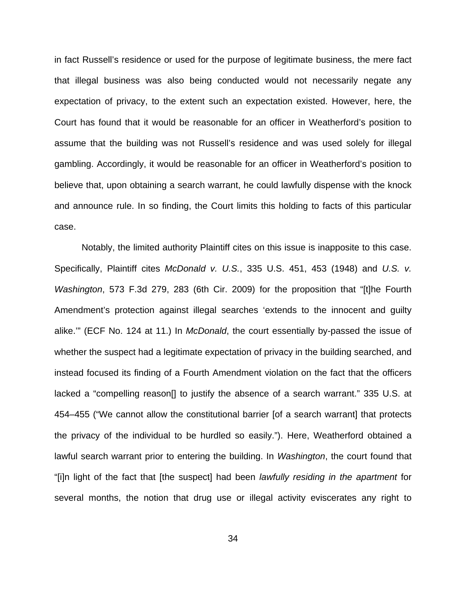in fact Russell's residence or used for the purpose of legitimate business, the mere fact that illegal business was also being conducted would not necessarily negate any expectation of privacy, to the extent such an expectation existed. However, here, the Court has found that it would be reasonable for an officer in Weatherford's position to assume that the building was not Russell's residence and was used solely for illegal gambling. Accordingly, it would be reasonable for an officer in Weatherford's position to believe that, upon obtaining a search warrant, he could lawfully dispense with the knock and announce rule. In so finding, the Court limits this holding to facts of this particular case.

Notably, the limited authority Plaintiff cites on this issue is inapposite to this case. Specifically, Plaintiff cites McDonald v. U.S., 335 U.S. 451, 453 (1948) and U.S. v. Washington, 573 F.3d 279, 283 (6th Cir. 2009) for the proposition that "[t]he Fourth Amendment's protection against illegal searches 'extends to the innocent and guilty alike.'" (ECF No. 124 at 11.) In McDonald, the court essentially by-passed the issue of whether the suspect had a legitimate expectation of privacy in the building searched, and instead focused its finding of a Fourth Amendment violation on the fact that the officers lacked a "compelling reason[] to justify the absence of a search warrant." 335 U.S. at 454–455 ("We cannot allow the constitutional barrier [of a search warrant] that protects the privacy of the individual to be hurdled so easily."). Here, Weatherford obtained a lawful search warrant prior to entering the building. In Washington, the court found that "[i]n light of the fact that [the suspect] had been *lawfully residing in the apartment* for several months, the notion that drug use or illegal activity eviscerates any right to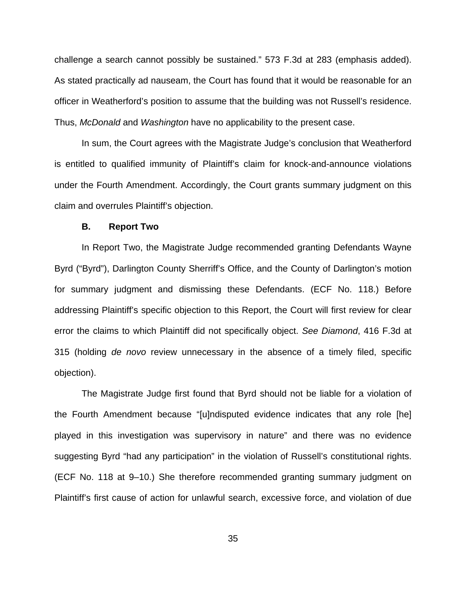challenge a search cannot possibly be sustained." 573 F.3d at 283 (emphasis added). As stated practically ad nauseam, the Court has found that it would be reasonable for an officer in Weatherford's position to assume that the building was not Russell's residence. Thus, McDonald and Washington have no applicability to the present case.

In sum, the Court agrees with the Magistrate Judge's conclusion that Weatherford is entitled to qualified immunity of Plaintiff's claim for knock-and-announce violations under the Fourth Amendment. Accordingly, the Court grants summary judgment on this claim and overrules Plaintiff's objection.

#### **B. Report Two**

In Report Two, the Magistrate Judge recommended granting Defendants Wayne Byrd ("Byrd"), Darlington County Sherriff's Office, and the County of Darlington's motion for summary judgment and dismissing these Defendants. (ECF No. 118.) Before addressing Plaintiff's specific objection to this Report, the Court will first review for clear error the claims to which Plaintiff did not specifically object. See Diamond, 416 F.3d at 315 (holding de novo review unnecessary in the absence of a timely filed, specific objection).

The Magistrate Judge first found that Byrd should not be liable for a violation of the Fourth Amendment because "[u]ndisputed evidence indicates that any role [he] played in this investigation was supervisory in nature" and there was no evidence suggesting Byrd "had any participation" in the violation of Russell's constitutional rights. (ECF No. 118 at 9–10.) She therefore recommended granting summary judgment on Plaintiff's first cause of action for unlawful search, excessive force, and violation of due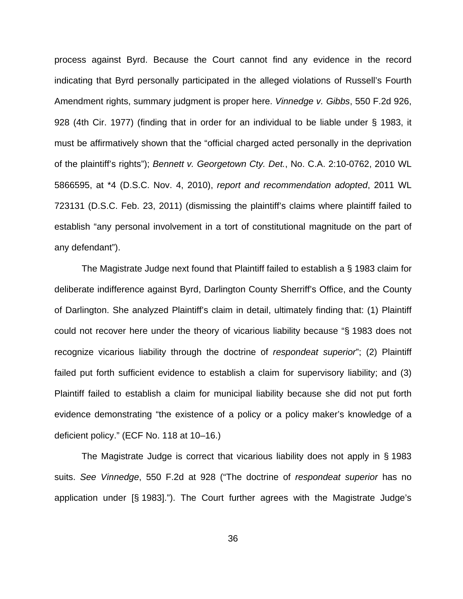process against Byrd. Because the Court cannot find any evidence in the record indicating that Byrd personally participated in the alleged violations of Russell's Fourth Amendment rights, summary judgment is proper here. Vinnedge v. Gibbs, 550 F.2d 926, 928 (4th Cir. 1977) (finding that in order for an individual to be liable under § 1983, it must be affirmatively shown that the "official charged acted personally in the deprivation of the plaintiff's rights"); Bennett v. Georgetown Cty. Det., No. C.A. 2:10-0762, 2010 WL 5866595, at \*4 (D.S.C. Nov. 4, 2010), report and recommendation adopted, 2011 WL 723131 (D.S.C. Feb. 23, 2011) (dismissing the plaintiff's claims where plaintiff failed to establish "any personal involvement in a tort of constitutional magnitude on the part of any defendant").

The Magistrate Judge next found that Plaintiff failed to establish a § 1983 claim for deliberate indifference against Byrd, Darlington County Sherriff's Office, and the County of Darlington. She analyzed Plaintiff's claim in detail, ultimately finding that: (1) Plaintiff could not recover here under the theory of vicarious liability because "§ 1983 does not recognize vicarious liability through the doctrine of respondeat superior"; (2) Plaintiff failed put forth sufficient evidence to establish a claim for supervisory liability; and (3) Plaintiff failed to establish a claim for municipal liability because she did not put forth evidence demonstrating "the existence of a policy or a policy maker's knowledge of a deficient policy." (ECF No. 118 at 10–16.)

The Magistrate Judge is correct that vicarious liability does not apply in § 1983 suits. See Vinnedge, 550 F.2d at 928 ("The doctrine of respondeat superior has no application under [§ 1983]."). The Court further agrees with the Magistrate Judge's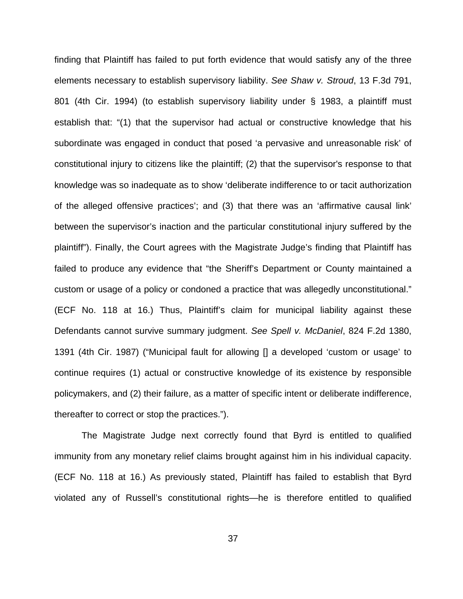finding that Plaintiff has failed to put forth evidence that would satisfy any of the three elements necessary to establish supervisory liability. See Shaw v. Stroud, 13 F.3d 791, 801 (4th Cir. 1994) (to establish supervisory liability under § 1983, a plaintiff must establish that: "(1) that the supervisor had actual or constructive knowledge that his subordinate was engaged in conduct that posed 'a pervasive and unreasonable risk' of constitutional injury to citizens like the plaintiff; (2) that the supervisor's response to that knowledge was so inadequate as to show 'deliberate indifference to or tacit authorization of the alleged offensive practices'; and (3) that there was an 'affirmative causal link' between the supervisor's inaction and the particular constitutional injury suffered by the plaintiff"). Finally, the Court agrees with the Magistrate Judge's finding that Plaintiff has failed to produce any evidence that "the Sheriff's Department or County maintained a custom or usage of a policy or condoned a practice that was allegedly unconstitutional." (ECF No. 118 at 16.) Thus, Plaintiff's claim for municipal liability against these Defendants cannot survive summary judgment. See Spell v. McDaniel, 824 F.2d 1380, 1391 (4th Cir. 1987) ("Municipal fault for allowing [] a developed 'custom or usage' to continue requires (1) actual or constructive knowledge of its existence by responsible policymakers, and (2) their failure, as a matter of specific intent or deliberate indifference, thereafter to correct or stop the practices.").

The Magistrate Judge next correctly found that Byrd is entitled to qualified immunity from any monetary relief claims brought against him in his individual capacity. (ECF No. 118 at 16.) As previously stated, Plaintiff has failed to establish that Byrd violated any of Russell's constitutional rights—he is therefore entitled to qualified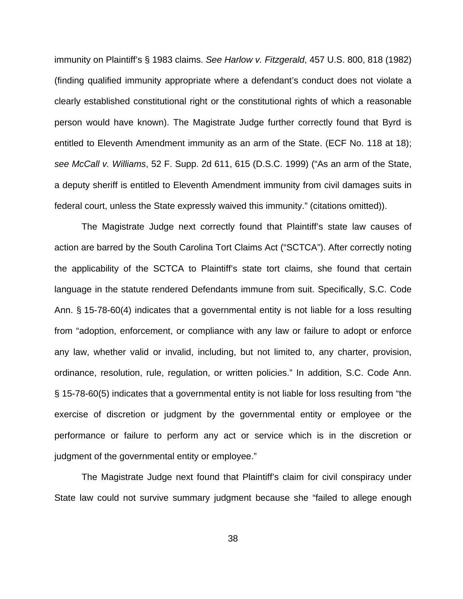immunity on Plaintiff's § 1983 claims. See Harlow v. Fitzgerald, 457 U.S. 800, 818 (1982) (finding qualified immunity appropriate where a defendant's conduct does not violate a clearly established constitutional right or the constitutional rights of which a reasonable person would have known). The Magistrate Judge further correctly found that Byrd is entitled to Eleventh Amendment immunity as an arm of the State. (ECF No. 118 at 18); see McCall v. Williams, 52 F. Supp. 2d 611, 615 (D.S.C. 1999) ("As an arm of the State, a deputy sheriff is entitled to Eleventh Amendment immunity from civil damages suits in federal court, unless the State expressly waived this immunity." (citations omitted)).

The Magistrate Judge next correctly found that Plaintiff's state law causes of action are barred by the South Carolina Tort Claims Act ("SCTCA"). After correctly noting the applicability of the SCTCA to Plaintiff's state tort claims, she found that certain language in the statute rendered Defendants immune from suit. Specifically, S.C. Code Ann. § 15-78-60(4) indicates that a governmental entity is not liable for a loss resulting from "adoption, enforcement, or compliance with any law or failure to adopt or enforce any law, whether valid or invalid, including, but not limited to, any charter, provision, ordinance, resolution, rule, regulation, or written policies." In addition, S.C. Code Ann. § 15-78-60(5) indicates that a governmental entity is not liable for loss resulting from "the exercise of discretion or judgment by the governmental entity or employee or the performance or failure to perform any act or service which is in the discretion or judgment of the governmental entity or employee."

The Magistrate Judge next found that Plaintiff's claim for civil conspiracy under State law could not survive summary judgment because she "failed to allege enough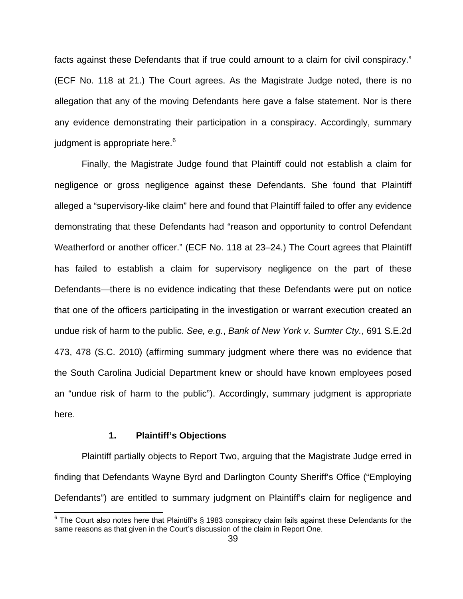facts against these Defendants that if true could amount to a claim for civil conspiracy." (ECF No. 118 at 21.) The Court agrees. As the Magistrate Judge noted, there is no allegation that any of the moving Defendants here gave a false statement. Nor is there any evidence demonstrating their participation in a conspiracy. Accordingly, summary judgment is appropriate here.<sup>6</sup>

Finally, the Magistrate Judge found that Plaintiff could not establish a claim for negligence or gross negligence against these Defendants. She found that Plaintiff alleged a "supervisory-like claim" here and found that Plaintiff failed to offer any evidence demonstrating that these Defendants had "reason and opportunity to control Defendant Weatherford or another officer." (ECF No. 118 at 23–24.) The Court agrees that Plaintiff has failed to establish a claim for supervisory negligence on the part of these Defendants—there is no evidence indicating that these Defendants were put on notice that one of the officers participating in the investigation or warrant execution created an undue risk of harm to the public. See, e.g., Bank of New York v. Sumter Cty., 691 S.E.2d 473, 478 (S.C. 2010) (affirming summary judgment where there was no evidence that the South Carolina Judicial Department knew or should have known employees posed an "undue risk of harm to the public"). Accordingly, summary judgment is appropriate here.

## **1. Plaintiff's Objections**

Plaintiff partially objects to Report Two, arguing that the Magistrate Judge erred in finding that Defendants Wayne Byrd and Darlington County Sheriff's Office ("Employing Defendants") are entitled to summary judgment on Plaintiff's claim for negligence and

 6 The Court also notes here that Plaintiff's § 1983 conspiracy claim fails against these Defendants for the same reasons as that given in the Court's discussion of the claim in Report One.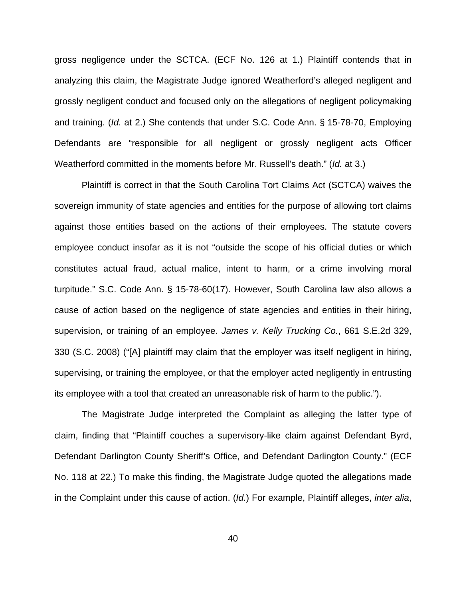gross negligence under the SCTCA. (ECF No. 126 at 1.) Plaintiff contends that in analyzing this claim, the Magistrate Judge ignored Weatherford's alleged negligent and grossly negligent conduct and focused only on the allegations of negligent policymaking and training. (Id. at 2.) She contends that under S.C. Code Ann. § 15-78-70, Employing Defendants are "responsible for all negligent or grossly negligent acts Officer Weatherford committed in the moments before Mr. Russell's death." (Id. at 3.)

Plaintiff is correct in that the South Carolina Tort Claims Act (SCTCA) waives the sovereign immunity of state agencies and entities for the purpose of allowing tort claims against those entities based on the actions of their employees. The statute covers employee conduct insofar as it is not "outside the scope of his official duties or which constitutes actual fraud, actual malice, intent to harm, or a crime involving moral turpitude." S.C. Code Ann. § 15-78-60(17). However, South Carolina law also allows a cause of action based on the negligence of state agencies and entities in their hiring, supervision, or training of an employee. James v. Kelly Trucking Co., 661 S.E.2d 329, 330 (S.C. 2008) ("[A] plaintiff may claim that the employer was itself negligent in hiring, supervising, or training the employee, or that the employer acted negligently in entrusting its employee with a tool that created an unreasonable risk of harm to the public.").

The Magistrate Judge interpreted the Complaint as alleging the latter type of claim, finding that "Plaintiff couches a supervisory-like claim against Defendant Byrd, Defendant Darlington County Sheriff's Office, and Defendant Darlington County." (ECF No. 118 at 22.) To make this finding, the Magistrate Judge quoted the allegations made in the Complaint under this cause of action. (Id.) For example, Plaintiff alleges, *inter alia*,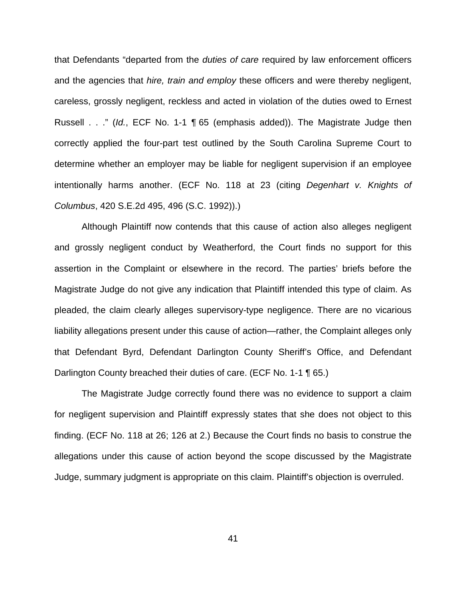that Defendants "departed from the *duties of care* required by law enforcement officers and the agencies that hire, train and employ these officers and were thereby negligent, careless, grossly negligent, reckless and acted in violation of the duties owed to Ernest Russell . . ." (Id., ECF No. 1-1 ¶ 65 (emphasis added)). The Magistrate Judge then correctly applied the four-part test outlined by the South Carolina Supreme Court to determine whether an employer may be liable for negligent supervision if an employee intentionally harms another. (ECF No. 118 at 23 (citing Degenhart v. Knights of Columbus, 420 S.E.2d 495, 496 (S.C. 1992)).)

Although Plaintiff now contends that this cause of action also alleges negligent and grossly negligent conduct by Weatherford, the Court finds no support for this assertion in the Complaint or elsewhere in the record. The parties' briefs before the Magistrate Judge do not give any indication that Plaintiff intended this type of claim. As pleaded, the claim clearly alleges supervisory-type negligence. There are no vicarious liability allegations present under this cause of action—rather, the Complaint alleges only that Defendant Byrd, Defendant Darlington County Sheriff's Office, and Defendant Darlington County breached their duties of care. (ECF No. 1-1 ¶ 65.)

The Magistrate Judge correctly found there was no evidence to support a claim for negligent supervision and Plaintiff expressly states that she does not object to this finding. (ECF No. 118 at 26; 126 at 2.) Because the Court finds no basis to construe the allegations under this cause of action beyond the scope discussed by the Magistrate Judge, summary judgment is appropriate on this claim. Plaintiff's objection is overruled.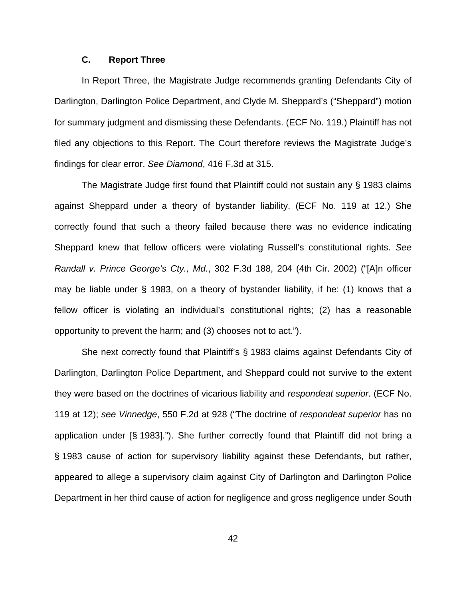## **C. Report Three**

In Report Three, the Magistrate Judge recommends granting Defendants City of Darlington, Darlington Police Department, and Clyde M. Sheppard's ("Sheppard") motion for summary judgment and dismissing these Defendants. (ECF No. 119.) Plaintiff has not filed any objections to this Report. The Court therefore reviews the Magistrate Judge's findings for clear error. See Diamond, 416 F.3d at 315.

The Magistrate Judge first found that Plaintiff could not sustain any § 1983 claims against Sheppard under a theory of bystander liability. (ECF No. 119 at 12.) She correctly found that such a theory failed because there was no evidence indicating Sheppard knew that fellow officers were violating Russell's constitutional rights. See Randall v. Prince George's Cty., Md., 302 F.3d 188, 204 (4th Cir. 2002) ("[A]n officer may be liable under § 1983, on a theory of bystander liability, if he: (1) knows that a fellow officer is violating an individual's constitutional rights; (2) has a reasonable opportunity to prevent the harm; and (3) chooses not to act.").

She next correctly found that Plaintiff's § 1983 claims against Defendants City of Darlington, Darlington Police Department, and Sheppard could not survive to the extent they were based on the doctrines of vicarious liability and respondeat superior. (ECF No. 119 at 12); see Vinnedge, 550 F.2d at 928 ("The doctrine of respondeat superior has no application under [§ 1983]."). She further correctly found that Plaintiff did not bring a § 1983 cause of action for supervisory liability against these Defendants, but rather, appeared to allege a supervisory claim against City of Darlington and Darlington Police Department in her third cause of action for negligence and gross negligence under South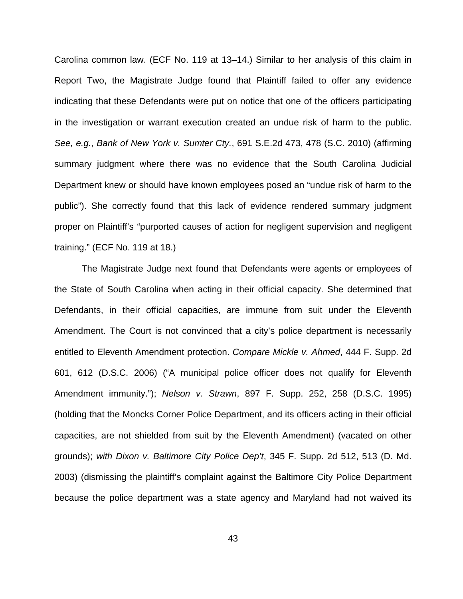Carolina common law. (ECF No. 119 at 13–14.) Similar to her analysis of this claim in Report Two, the Magistrate Judge found that Plaintiff failed to offer any evidence indicating that these Defendants were put on notice that one of the officers participating in the investigation or warrant execution created an undue risk of harm to the public. See, e.g., Bank of New York v. Sumter Cty., 691 S.E.2d 473, 478 (S.C. 2010) (affirming summary judgment where there was no evidence that the South Carolina Judicial Department knew or should have known employees posed an "undue risk of harm to the public"). She correctly found that this lack of evidence rendered summary judgment proper on Plaintiff's "purported causes of action for negligent supervision and negligent training." (ECF No. 119 at 18.)

The Magistrate Judge next found that Defendants were agents or employees of the State of South Carolina when acting in their official capacity. She determined that Defendants, in their official capacities, are immune from suit under the Eleventh Amendment. The Court is not convinced that a city's police department is necessarily entitled to Eleventh Amendment protection. Compare Mickle v. Ahmed, 444 F. Supp. 2d 601, 612 (D.S.C. 2006) ("A municipal police officer does not qualify for Eleventh Amendment immunity."); Nelson v. Strawn, 897 F. Supp. 252, 258 (D.S.C. 1995) (holding that the Moncks Corner Police Department, and its officers acting in their official capacities, are not shielded from suit by the Eleventh Amendment) (vacated on other grounds); with Dixon v. Baltimore City Police Dep't, 345 F. Supp. 2d 512, 513 (D. Md. 2003) (dismissing the plaintiff's complaint against the Baltimore City Police Department because the police department was a state agency and Maryland had not waived its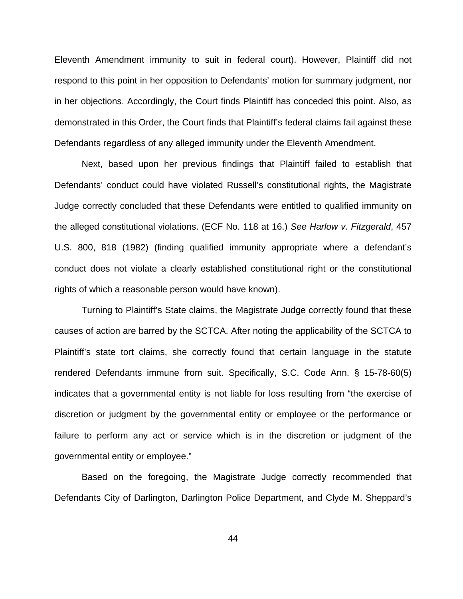Eleventh Amendment immunity to suit in federal court). However, Plaintiff did not respond to this point in her opposition to Defendants' motion for summary judgment, nor in her objections. Accordingly, the Court finds Plaintiff has conceded this point. Also, as demonstrated in this Order, the Court finds that Plaintiff's federal claims fail against these Defendants regardless of any alleged immunity under the Eleventh Amendment.

Next, based upon her previous findings that Plaintiff failed to establish that Defendants' conduct could have violated Russell's constitutional rights, the Magistrate Judge correctly concluded that these Defendants were entitled to qualified immunity on the alleged constitutional violations. (ECF No. 118 at 16.) See Harlow v. Fitzgerald, 457 U.S. 800, 818 (1982) (finding qualified immunity appropriate where a defendant's conduct does not violate a clearly established constitutional right or the constitutional rights of which a reasonable person would have known).

Turning to Plaintiff's State claims, the Magistrate Judge correctly found that these causes of action are barred by the SCTCA. After noting the applicability of the SCTCA to Plaintiff's state tort claims, she correctly found that certain language in the statute rendered Defendants immune from suit. Specifically, S.C. Code Ann. § 15-78-60(5) indicates that a governmental entity is not liable for loss resulting from "the exercise of discretion or judgment by the governmental entity or employee or the performance or failure to perform any act or service which is in the discretion or judgment of the governmental entity or employee."

Based on the foregoing, the Magistrate Judge correctly recommended that Defendants City of Darlington, Darlington Police Department, and Clyde M. Sheppard's